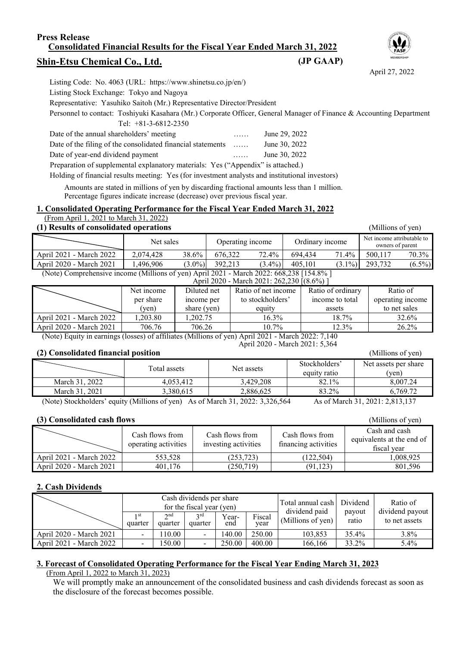#### **Press Release Consolidated Financial Results for the Fiscal Year Ended March 31, 2022**

## **Shin-Etsu Chemical Co., Ltd.**

| Listing Code: No. 4063 (URL: https://www.shinetsu.co.jp/en/)                                                         |   |               |
|----------------------------------------------------------------------------------------------------------------------|---|---------------|
| Listing Stock Exchange: Tokyo and Nagoya                                                                             |   |               |
| Representative: Yasuhiko Saitoh (Mr.) Representative Director/President                                              |   |               |
| Personnel to contact: Toshiyuki Kasahara (Mr.) Corporate Officer, General Manager of Finance & Accounting Department |   |               |
| Tel: $+81-3-6812-2350$                                                                                               |   |               |
| Date of the annual shareholders' meeting                                                                             | . | June 29, 2022 |
| Date of the filing of the consolidated financial statements                                                          | . | June 30, 2022 |
| Date of year-end dividend payment                                                                                    | . | June 30, 2022 |
| Preparation of supplemental explanatory materials: Yes ("Appendix" is attached.)                                     |   |               |
| Holding of financial results meeting: Yes (for investment analysts and institutional investors)                      |   |               |

Amounts are stated in millions of yen by discarding fractional amounts less than 1 million.

Percentage figures indicate increase (decrease) over previous fiscal year.

#### **1. Consolidated Operating Performance for the Fiscal Year Ended March 31, 2022**

## (From April 1, 2021 to March 31, 2022)

| (1) Results of consolidated operations<br>(Millions of yen)                             |           |                  |           |                 |       |                                                |           |  |  |
|-----------------------------------------------------------------------------------------|-----------|------------------|-----------|-----------------|-------|------------------------------------------------|-----------|--|--|
| Net sales                                                                               |           | Operating income |           | Ordinary income |       | Net income attributable to<br>owners of parent |           |  |  |
| 2.074.428                                                                               | 38.6%     | 676.322          | 72.4%     | 694.434         | 71.4% | 500,117                                        | 70.3%     |  |  |
| 1.496.906                                                                               | $(3.0\%)$ | 392.213          | $(3.4\%)$ | 405.101         |       | 293.732                                        | $(6.5\%)$ |  |  |
| (Note) Comprehensive income (Millions of yen) April 2021 - March 2022: 668,238 [154.8%] |           |                  |           |                 |       |                                                |           |  |  |
|                                                                                         |           |                  |           |                 |       | April 2020 - March 2021: 262 230 [(8.6%) ]     | $(3.1\%)$ |  |  |

|                         | $\mu$ phil 2020 - March 2021. 202,230 $(0.070)$ |             |                     |                   |                  |  |  |  |  |  |  |
|-------------------------|-------------------------------------------------|-------------|---------------------|-------------------|------------------|--|--|--|--|--|--|
|                         | Net income                                      | Diluted net | Ratio of net income | Ratio of ordinary | Ratio of         |  |  |  |  |  |  |
|                         | per share                                       | income per  | to stockholders'    | income to total   | operating income |  |  |  |  |  |  |
|                         | (ven)                                           | share (yen) | equity              | assets            | to net sales     |  |  |  |  |  |  |
| April 2021 - March 2022 | .203.80                                         | 1.202.75    | 16.3%               | 18.7%             | 32.6%            |  |  |  |  |  |  |
| April 2020 - March 2021 | 706.76                                          | 706.26      | 10.7%               | 12.3%             | 26.2%            |  |  |  |  |  |  |

(Note) Equity in earnings (losses) of affiliates (Millions of yen) April 2021 - March 2022: 7,140 April 2020 - March 2021: 5,364

#### **(2) Consolidated financial position** (Millions of yen)

Total assets Net assets Stockholders' equity ratio  $82.1\%$ Net assets per share (yen) March 31, 2022 4,053,412 3,429,208 82.1% 8,007.24 March 31, 2021 | 3,380,615 | 2,886,625 | 83.2% | 6,769.72

(Note) Stockholders' equity (Millions of yen) As of March 31, 2022: 3,326,564 As of March 31, 2021: 2,813,137

#### **(3) Consolidated cash flows** (Millions of yen)

|                         | Cash flows from<br>operating activities | Cash flows from<br>investing activities | Cash flows from<br>financing activities | Cash and cash<br>equivalents at the end of<br>fiscal vear |
|-------------------------|-----------------------------------------|-----------------------------------------|-----------------------------------------|-----------------------------------------------------------|
| April 2021 - March 2022 | 553,528                                 | (253, 723)                              | (122.504)                               | ,008,925                                                  |
| April 2020 - March 2021 | 401.176                                 | (250,719)                               | (91, 123)                               | 801.596                                                   |

#### **2. Cash Dividends**

|                         | Cash dividends per share<br>for the fiscal year (yen) |                |                |              |                | Total annual cash   Dividend<br>dividend paid |                 | Ratio of                         |  |
|-------------------------|-------------------------------------------------------|----------------|----------------|--------------|----------------|-----------------------------------------------|-----------------|----------------------------------|--|
|                         | 1 <sub>st</sub><br>quarter                            | 2nd<br>quarter | 2rd<br>quarter | Year-<br>end | Fiscal<br>vear | (Millions of yen)                             | payout<br>ratio | dividend payout<br>to net assets |  |
| April 2020 - March 2021 | $\overline{\phantom{a}}$                              | 10.00          |                | 140.00       | 250.00         | 103,853                                       | 35.4%           | 3.8%                             |  |
| April 2021 - March 2022 | $\overline{\phantom{a}}$                              | 150.00         |                | 250.00       | 400.00         | 166,166                                       | 33.2%           | 5.4%                             |  |

#### **3. Forecast of Consolidated Operating Performance for the Fiscal Year Ending March 31, 2023**

(From April 1, 2022 to March 31, 2023)

We will promptly make an announcement of the consolidated business and cash dividends forecast as soon as the disclosure of the forecast becomes possible.





#### **(JP GAAP)**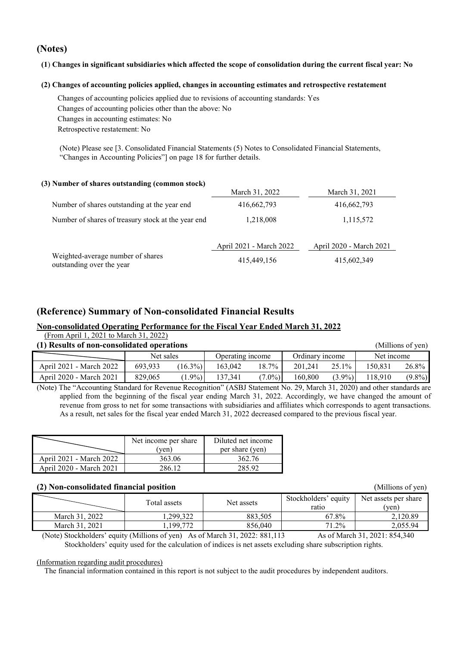#### **(Notes)**

#### **(1**) **Changes in significant subsidiaries which affected the scope of consolidation during the current fiscal year: No**

#### **(2) Changes of accounting policies applied, changes in accounting estimates and retrospective restatement**

Changes of accounting policies applied due to revisions of accounting standards: Yes Changes of accounting policies other than the above: No Changes in accounting estimates: No Retrospective restatement: No

(Note) Please see [3. Consolidated Financial Statements (5) Notes to Consolidated Financial Statements, "Changes in Accounting Policies"] on page 18 for further details.

#### **(3) Number of shares outstanding (common stock)**

|                                                                | March 31, 2022          | March 31, 2021          |
|----------------------------------------------------------------|-------------------------|-------------------------|
| Number of shares outstanding at the year end                   | 416,662,793             | 416,662,793             |
| Number of shares of treasury stock at the year end             | 1,218,008               | 1,115,572               |
|                                                                | April 2021 - March 2022 | April 2020 - March 2021 |
| Weighted-average number of shares<br>outstanding over the year | 415,449,156             | 415,602,349             |

#### **(Reference) Summary of Non-consolidated Financial Results**

#### **Non-consolidated Operating Performance for the Fiscal Year Ended March 31, 2022** (From April 1, 2021 to March 31, 2022)

| $(110111 \Delta \mu 11111, 2021101 \mu 101111)$<br>(1) Results of non-consolidated operations<br>(Millions of yen) |           |            |                  |           |                 |           |            |           |  |
|--------------------------------------------------------------------------------------------------------------------|-----------|------------|------------------|-----------|-----------------|-----------|------------|-----------|--|
|                                                                                                                    | Net sales |            | Operating income |           | Ordinary income |           | Net income |           |  |
| April 2021 - March 2022                                                                                            | 693.933   | $(16.3\%)$ | 163.042          | 18.7%     | 201.241         | 25.1%     | 150.831    | 26.8%     |  |
| April 2020 - March 2021                                                                                            | 829,065   | $1.9\%)$   | 137.341          | $(7.0\%)$ | 160,800         | $(3.9\%)$ | 118,910    | $(9.8\%)$ |  |

(Note) The "Accounting Standard for Revenue Recognition" (ASBJ Statement No. 29, March 31, 2020) and other standards are applied from the beginning of the fiscal year ending March 31, 2022. Accordingly, we have changed the amount of revenue from gross to net for some transactions with subsidiaries and affiliates which corresponds to agent transactions. As a result, net sales for the fiscal year ended March 31, 2022 decreased compared to the previous fiscal year.

|                         | Net income per share | Diluted net income |
|-------------------------|----------------------|--------------------|
|                         | ven)                 | per share (yen)    |
| April 2021 - March 2022 | 363.06               | 362.76             |
| April 2020 - March 2021 | 286 12               | 285.92             |

#### **(2) Non-consolidated financial position** (Millions of yen)

|                | Total assets | Net assets | Stockholders' equity<br>ratio | Net assets per share<br>'ven) |
|----------------|--------------|------------|-------------------------------|-------------------------------|
| March 31, 2022 | .299.322     | 883.505    | 67.8%                         | 2.120.89                      |
| March 31, 2021 | ,199,772     | 856,040    | 71.2%                         | 2.055.94                      |

(Note) Stockholders' equity (Millions of yen) As of March 31, 2022: 881,113 As of March 31, 2021: 854,340 Stockholders' equity used for the calculation of indices is net assets excluding share subscription rights.

#### (Information regarding audit procedures)

The financial information contained in this report is not subject to the audit procedures by independent auditors.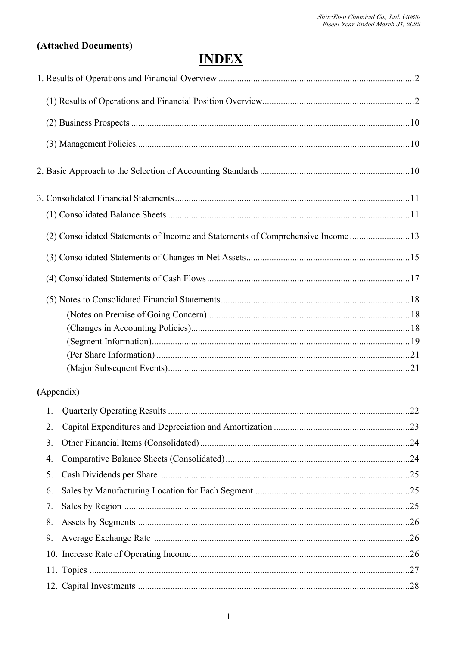# (Attached Documents)

# **INDEX**

|            | (2) Consolidated Statements of Income and Statements of Comprehensive Income 13 |     |
|------------|---------------------------------------------------------------------------------|-----|
|            |                                                                                 |     |
|            |                                                                                 |     |
|            |                                                                                 |     |
|            |                                                                                 |     |
|            |                                                                                 |     |
|            |                                                                                 |     |
|            |                                                                                 |     |
|            |                                                                                 |     |
| (Appendix) |                                                                                 |     |
|            |                                                                                 |     |
| 2.         |                                                                                 |     |
| 3.         |                                                                                 |     |
| 4.         |                                                                                 |     |
| 5.         |                                                                                 |     |
| 6.         |                                                                                 |     |
| 7.         |                                                                                 |     |
| 8.         |                                                                                 |     |
| 9.         |                                                                                 |     |
|            |                                                                                 |     |
|            |                                                                                 | .27 |

 $\mathbf{r}$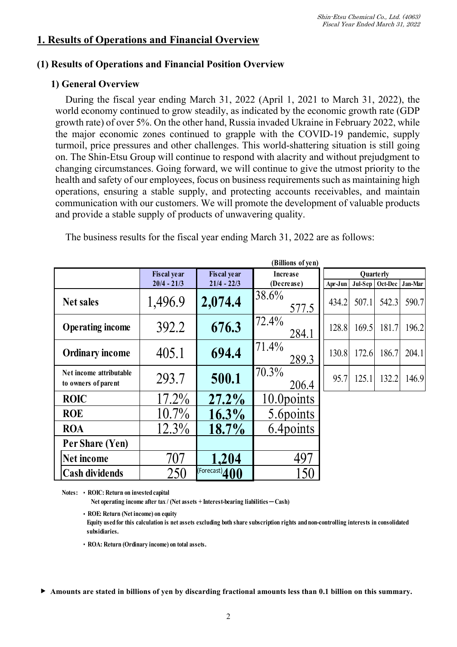## **1. Results of Operations and Financial Overview**

## **(1) Results of Operations and Financial Position Overview**

## **1) General Overview**

During the fiscal year ending March 31, 2022 (April 1, 2021 to March 31, 2022), the world economy continued to grow steadily, as indicated by the economic growth rate (GDP growth rate) of over 5%. On the other hand, Russia invaded Ukraine in February 2022, while the major economic zones continued to grapple with the COVID-19 pandemic, supply turmoil, price pressures and other challenges. This world-shattering situation is still going on. The Shin-Etsu Group will continue to respond with alacrity and without prejudgment to changing circumstances. Going forward, we will continue to give the utmost priority to the health and safety of our employees, focus on business requirements such as maintaining high operations, ensuring a stable supply, and protecting accounts receivables, and maintain communication with our customers. We will promote the development of valuable products and provide a stable supply of products of unwavering quality.

| (Billions of yen)                              |                    |                    |                 |         |       |                 |         |  |  |  |
|------------------------------------------------|--------------------|--------------------|-----------------|---------|-------|-----------------|---------|--|--|--|
|                                                | <b>Fiscal year</b> | Fiscal year        | <b>Increase</b> |         |       | Quarterly       |         |  |  |  |
|                                                | $20/4 - 21/3$      | $21/4 - 22/3$      | (Decrease)      | Apr-Jun |       | Jul-Sep Oct-Dec | Jan-Mar |  |  |  |
| <b>Net sales</b>                               | 1,496.9            | 2,074.4            | 38.6%<br>577.5  | 434.2   | 507.1 | 542.3           | 590.7   |  |  |  |
| <b>Operating income</b>                        | 392.2              | 676.3              | 72.4%<br>284.1  | 128.8   | 169.5 | 181.7           | 196.2   |  |  |  |
| <b>Ordinary income</b>                         | 405.1              | 694.4              | 71.4%<br>289.3  | 130.8   | 172.6 | 186.7           | 204.1   |  |  |  |
| Net income attributable<br>to owners of parent | 293.7              | 500.1              | 70.3%<br>206.4  | 95.7    | 125.1 | 132.2           | 146.9   |  |  |  |
| <b>ROIC</b>                                    | 17.2%              | $27.2\%$           | 10.0 points     |         |       |                 |         |  |  |  |
| <b>ROE</b>                                     | $10.7\%$           | $16.3\%$           | 5.6 points      |         |       |                 |         |  |  |  |
| <b>ROA</b>                                     | $12.3\%$           | 18.7%              | 6.4 points      |         |       |                 |         |  |  |  |
| Per Share (Yen)                                |                    |                    |                 |         |       |                 |         |  |  |  |
| <b>Net income</b>                              | 707                | 1.204              | 497             |         |       |                 |         |  |  |  |
| <b>Cash dividends</b>                          | 250                | $F$ orecast) $400$ | 150             |         |       |                 |         |  |  |  |

The business results for the fiscal year ending March 31, 2022 are as follows:

**Notes:** ・ **ROIC: Return on invested capital**

Net operating income after tax / (Net assets + Interest-bearing liabilities – Cash)

・ **ROE: Return (Net income) on equity Equity used for this calculation is net assets excluding both share subscription rights and non-controlling interests in consolidated subsidiaries.**

- ・ **ROA: Return (Ordinary income) on total assets.**
- ▶ **Amounts are stated in billions of yen by discarding fractional amounts less than 0.1 billion on this summary.**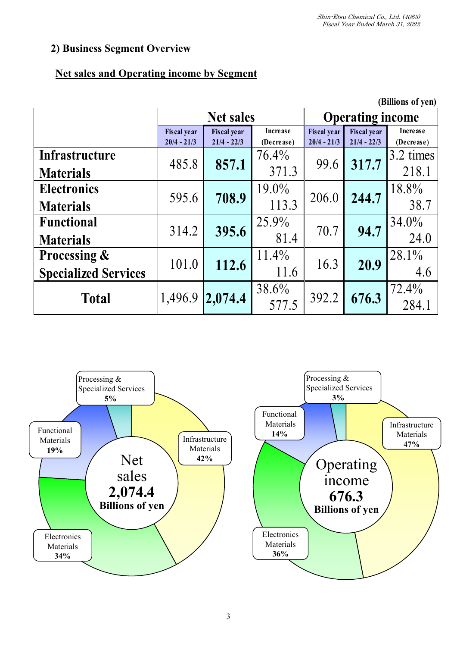# **2) Business Segment Overview**

# **Net sales and Operating income by Segment**

|                             |                    |                    |                |                         |               | (Billions of yen) |       |
|-----------------------------|--------------------|--------------------|----------------|-------------------------|---------------|-------------------|-------|
|                             |                    | <b>Net sales</b>   |                | <b>Operating income</b> |               |                   |       |
|                             | <b>Fiscal year</b> | <b>Fiscal</b> year | Increase       | <b>Fiscal</b> year      | Fiscal year   | <b>Increase</b>   |       |
|                             | $20/4 - 21/3$      | $21/4 - 22/3$      | (Decrease)     | $20/4 - 21/3$           | $21/4 - 22/3$ | (Decrease)        |       |
| Infrastructure              | 485.8              | 857.1              | 76.4%          | 99.6                    | 317.7         | 3.2 times         |       |
| <b>Materials</b>            |                    | 371.3              |                |                         |               | 218.1             |       |
| <b>Electronics</b>          |                    |                    | 708.9<br>595.6 | 19.0%                   | 206.0         | 244.7             | 18.8% |
| <b>Materials</b>            |                    |                    | 113.3          |                         |               | 38.7              |       |
| <b>Functional</b>           | 314.2              |                    | 25.9%          | 70.7                    | 94.7          | 34.0%             |       |
| <b>Materials</b>            |                    | 395.6              | 81.4           |                         |               | 24.0              |       |
| <b>Processing &amp;</b>     | 101.0              | 112.6              | $11.4\%$       | 16.3                    | 20.9          | 28.1%             |       |
| <b>Specialized Services</b> |                    |                    | 11.6           |                         |               | 4.6               |       |
|                             |                    |                    | 38.6%          |                         |               | 72.4%             |       |
| <b>Total</b>                | 1,496.9            | 2,074.4            | 577.5          | 392.2                   | 676.3         | 284.1             |       |



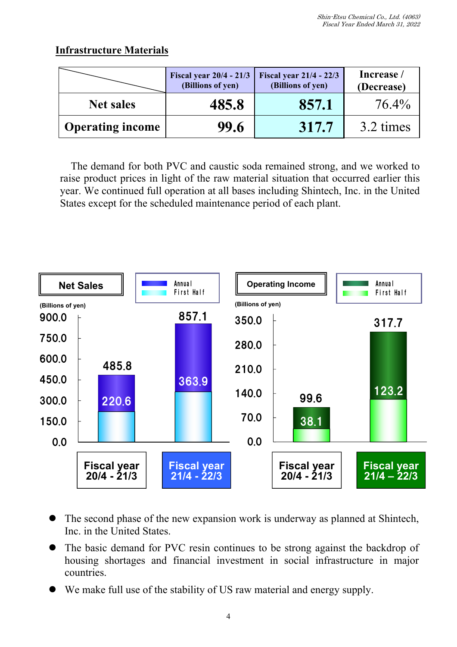# **Infrastructure Materials**

|                         | Fiscal year $20/4 - 21/3$<br>(Billions of yen) | <b>Fiscal year 21/4 - 22/3</b><br>(Billions of yen) | Increase /<br>(Decrease) |
|-------------------------|------------------------------------------------|-----------------------------------------------------|--------------------------|
| <b>Net sales</b>        | 485.8                                          | 857.1                                               | 76.4%                    |
| <b>Operating income</b> | 99.6                                           | 317.7                                               | 3.2 times                |

The demand for both PVC and caustic soda remained strong, and we worked to raise product prices in light of the raw material situation that occurred earlier this year. We continued full operation at all bases including Shintech, Inc. in the United States except for the scheduled maintenance period of each plant.



- The second phase of the new expansion work is underway as planned at Shintech, Inc. in the United States.
- The basic demand for PVC resin continues to be strong against the backdrop of housing shortages and financial investment in social infrastructure in major countries.
- We make full use of the stability of US raw material and energy supply.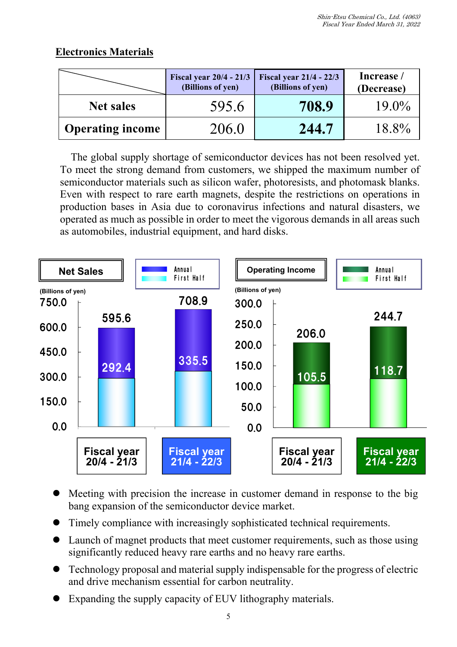# **Electronics Materials**

|                         | Fiscal year $20/4 - 21/3$<br>(Billions of yen) | <b>Fiscal year 21/4 - 22/3</b><br>(Billions of yen) | Increase /<br>(Decrease) |
|-------------------------|------------------------------------------------|-----------------------------------------------------|--------------------------|
| <b>Net sales</b>        | 595.6                                          | 708.9                                               | $19.0\%$                 |
| <b>Operating income</b> | 206.0                                          | 244.7                                               | 18.8%                    |

The global supply shortage of semiconductor devices has not been resolved yet. To meet the strong demand from customers, we shipped the maximum number of semiconductor materials such as silicon wafer, photoresists, and photomask blanks. Even with respect to rare earth magnets, despite the restrictions on operations in production bases in Asia due to coronavirus infections and natural disasters, we operated as much as possible in order to meet the vigorous demands in all areas such as automobiles, industrial equipment, and hard disks.



- Meeting with precision the increase in customer demand in response to the big bang expansion of the semiconductor device market.
- Timely compliance with increasingly sophisticated technical requirements.
- Launch of magnet products that meet customer requirements, such as those using significantly reduced heavy rare earths and no heavy rare earths.
- Technology proposal and material supply indispensable for the progress of electric and drive mechanism essential for carbon neutrality.
- Expanding the supply capacity of EUV lithography materials.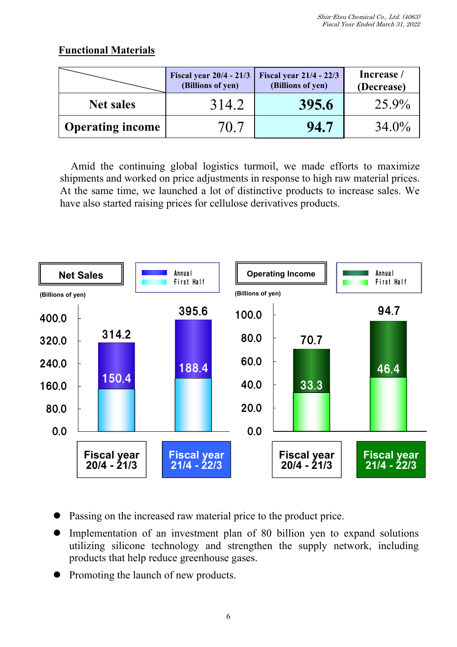# **Functional Materials**

|                         | <b>Fiscal year 20/4 - 21/3</b><br>(Billions of yen) | <b>Fiscal year 21/4 - 22/3</b><br>(Billions of yen) | Increase /<br>(Decrease) |
|-------------------------|-----------------------------------------------------|-----------------------------------------------------|--------------------------|
| <b>Net sales</b>        | 314.2                                               | 395.6                                               | 25.9%                    |
| <b>Operating income</b> | 70.7                                                | 94.7                                                | 34.0%                    |

Amid the continuing global logistics turmoil, we made efforts to maximize shipments and worked on price adjustments in response to high raw material prices. At the same time, we launched a lot of distinctive products to increase sales. We have also started raising prices for cellulose derivatives products.



- Passing on the increased raw material price to the product price.
- Implementation of an investment plan of 80 billion yen to expand solutions utilizing silicone technology and strengthen the supply network, including products that help reduce greenhouse gases.
- Promoting the launch of new products.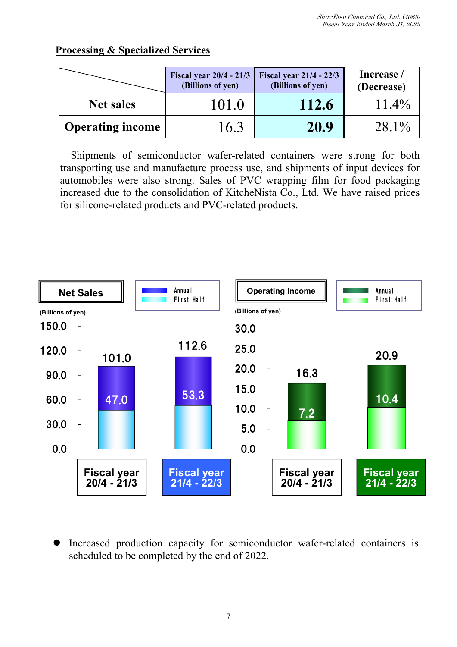# **Processing & Specialized Services**

|                         | (Billions of yen) | Fiscal year 20/4 - 21/3   Fiscal year 21/4 - 22/3<br>(Billions of yen) | Increase /<br>(Decrease) |
|-------------------------|-------------------|------------------------------------------------------------------------|--------------------------|
| <b>Net sales</b>        | 101.0             | 112.6                                                                  | $11.4\%$                 |
| <b>Operating income</b> | 16.3              | 20.9                                                                   | $28.1\%$                 |

Shipments of semiconductor wafer-related containers were strong for both transporting use and manufacture process use, and shipments of input devices for automobiles were also strong. Sales of PVC wrapping film for food packaging increased due to the consolidation of KitcheNista Co., Ltd. We have raised prices for silicone-related products and PVC-related products.



 Increased production capacity for semiconductor wafer-related containers is scheduled to be completed by the end of 2022.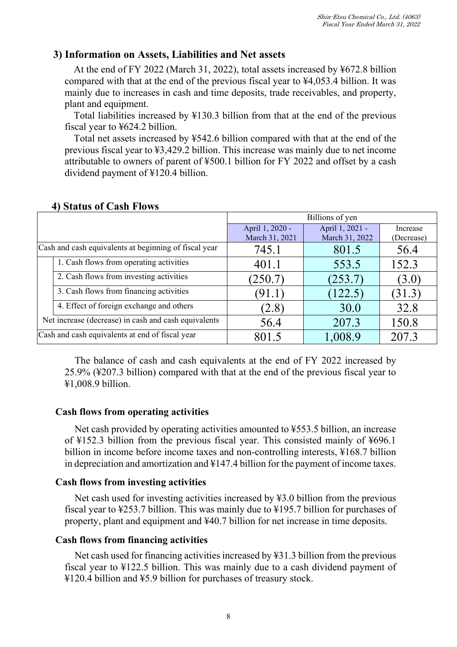## **3) Information on Assets, Liabilities and Net assets**

At the end of FY 2022 (March 31, 2022), total assets increased by ¥672.8 billion compared with that at the end of the previous fiscal year to ¥4,053.4 billion. It was mainly due to increases in cash and time deposits, trade receivables, and property, plant and equipment.

Total liabilities increased by ¥130.3 billion from that at the end of the previous fiscal year to ¥624.2 billion.

Total net assets increased by ¥542.6 billion compared with that at the end of the previous fiscal year to ¥3,429.2 billion. This increase was mainly due to net income attributable to owners of parent of ¥500.1 billion for FY 2022 and offset by a cash dividend payment of ¥120.4 billion.

|                                                      |                                                       | Billions of yen                   |                                   |                        |  |
|------------------------------------------------------|-------------------------------------------------------|-----------------------------------|-----------------------------------|------------------------|--|
|                                                      |                                                       | April 1, 2020 -<br>March 31, 2021 | April 1, 2021 -<br>March 31, 2022 | Increase<br>(Decrease) |  |
|                                                      | Cash and cash equivalents at beginning of fiscal year | 745.1                             | 801.5                             | 56.4                   |  |
|                                                      | 1. Cash flows from operating activities               | 401.1                             | 553.5                             | 152.3                  |  |
|                                                      | 2. Cash flows from investing activities               | (250.7)                           | (253.7)                           | (3.0)                  |  |
|                                                      | 3. Cash flows from financing activities               | (91.1                             | (122.5)                           | (31.3)                 |  |
|                                                      | 4. Effect of foreign exchange and others              | (2.8)                             | 30.0                              | 32.8                   |  |
| Net increase (decrease) in cash and cash equivalents |                                                       | 56.4                              | 207.3                             | 150.8                  |  |
| Cash and cash equivalents at end of fiscal year      |                                                       | 801.5                             | 1,008.9                           | 207.3                  |  |

#### **4) Status of Cash Flows**

The balance of cash and cash equivalents at the end of FY 2022 increased by 25.9% (¥207.3 billion) compared with that at the end of the previous fiscal year to ¥1,008.9 billion.

#### **Cash flows from operating activities**

Net cash provided by operating activities amounted to ¥553.5 billion, an increase of ¥152.3 billion from the previous fiscal year. This consisted mainly of ¥696.1 billion in income before income taxes and non-controlling interests, ¥168.7 billion in depreciation and amortization and ¥147.4 billion for the payment of income taxes.

#### **Cash flows from investing activities**

Net cash used for investing activities increased by ¥3.0 billion from the previous fiscal year to ¥253.7 billion. This was mainly due to ¥195.7 billion for purchases of property, plant and equipment and ¥40.7 billion for net increase in time deposits.

#### **Cash flows from financing activities**

Net cash used for financing activities increased by ¥31.3 billion from the previous fiscal year to ¥122.5 billion. This was mainly due to a cash dividend payment of ¥120.4 billion and ¥5.9 billion for purchases of treasury stock.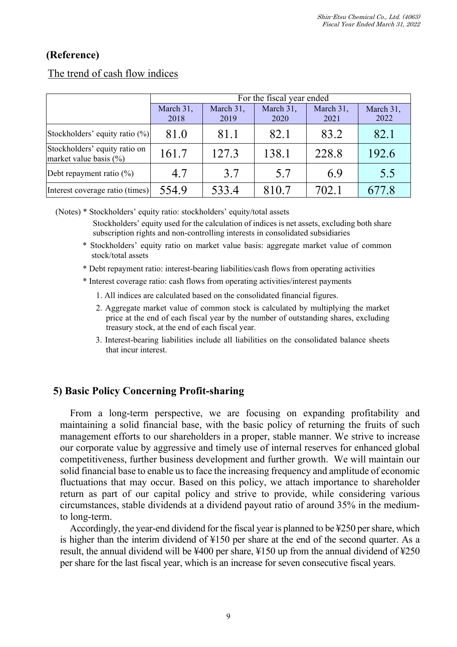# **(Reference)**

|                                                            | For the fiscal year ended |                   |                   |                   |                   |  |
|------------------------------------------------------------|---------------------------|-------------------|-------------------|-------------------|-------------------|--|
|                                                            | March 31,<br>2018         | March 31,<br>2019 | March 31,<br>2020 | March 31,<br>2021 | March 31,<br>2022 |  |
| Stockholders' equity ratio (%)                             | 81.0                      | 81.1              | 82.1              | 83.2              | 82.1              |  |
| Stockholders' equity ratio on<br>market value basis $(\%)$ | 161.7                     | 127.3             | 138.1             | 228.8             | 192.6             |  |
| Debt repayment ratio $(\%)$                                | 4.7                       | 3.7               | 5.7               | 6.9               | 5.5               |  |
| Interest coverage ratio (times)                            | 554.9                     | 533.4             | 810.7             | 702.1             | 77.8              |  |

# The trend of cash flow indices

(Notes) \* Stockholders' equity ratio: stockholders' equity/total assets

Stockholders' equity used for the calculation of indices is net assets, excluding both share subscription rights and non-controlling interests in consolidated subsidiaries

- \* Stockholders' equity ratio on market value basis: aggregate market value of common stock/total assets
- \* Debt repayment ratio: interest-bearing liabilities/cash flows from operating activities

\* Interest coverage ratio: cash flows from operating activities/interest payments

- 1. All indices are calculated based on the consolidated financial figures.
- 2. Aggregate market value of common stock is calculated by multiplying the market price at the end of each fiscal year by the number of outstanding shares, excluding treasury stock, at the end of each fiscal year.
- 3. Interest-bearing liabilities include all liabilities on the consolidated balance sheets that incur interest.

## **5) Basic Policy Concerning Profit-sharing**

From a long-term perspective, we are focusing on expanding profitability and maintaining a solid financial base, with the basic policy of returning the fruits of such management efforts to our shareholders in a proper, stable manner. We strive to increase our corporate value by aggressive and timely use of internal reserves for enhanced global competitiveness, further business development and further growth. We will maintain our solid financial base to enable us to face the increasing frequency and amplitude of economic fluctuations that may occur. Based on this policy, we attach importance to shareholder return as part of our capital policy and strive to provide, while considering various circumstances, stable dividends at a dividend payout ratio of around 35% in the mediumto long-term.

Accordingly, the year-end dividend for the fiscal year is planned to be ¥250 per share, which is higher than the interim dividend of ¥150 per share at the end of the second quarter. As a result, the annual dividend will be ¥400 per share, ¥150 up from the annual dividend of ¥250 per share for the last fiscal year, which is an increase for seven consecutive fiscal years.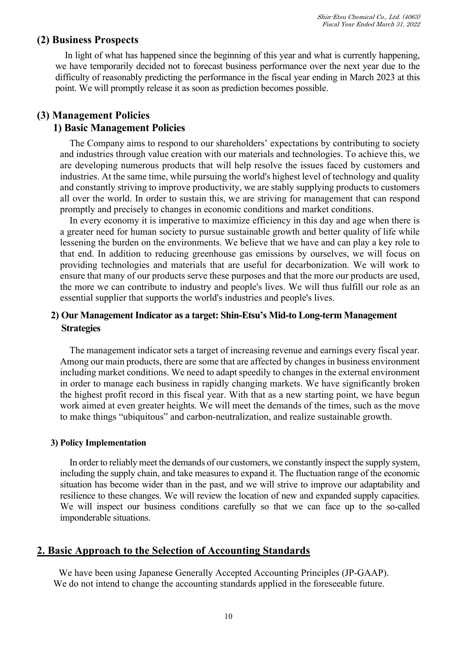## **(2) Business Prospects**

In light of what has happened since the beginning of this year and what is currently happening, we have temporarily decided not to forecast business performance over the next year due to the difficulty of reasonably predicting the performance in the fiscal year ending in March 2023 at this point. We will promptly release it as soon as prediction becomes possible.

## **(3) Management Policies**

## **1) Basic Management Policies**

The Company aims to respond to our shareholders' expectations by contributing to society and industries through value creation with our materials and technologies. To achieve this, we are developing numerous products that will help resolve the issues faced by customers and industries. At the same time, while pursuing the world's highest level of technology and quality and constantly striving to improve productivity, we are stably supplying products to customers all over the world. In order to sustain this, we are striving for management that can respond promptly and precisely to changes in economic conditions and market conditions.

In every economy it is imperative to maximize efficiency in this day and age when there is a greater need for human society to pursue sustainable growth and better quality of life while lessening the burden on the environments. We believe that we have and can play a key role to that end. In addition to reducing greenhouse gas emissions by ourselves, we will focus on providing technologies and materials that are useful for decarbonization. We will work to ensure that many of our products serve these purposes and that the more our products are used, the more we can contribute to industry and people's lives. We will thus fulfill our role as an essential supplier that supports the world's industries and people's lives.

## **2) Our Management Indicator as a target: Shin-Etsu's Mid-to Long-term Management Strategies**

The management indicator sets a target of increasing revenue and earnings every fiscal year. Among our main products, there are some that are affected by changes in business environment including market conditions. We need to adapt speedily to changes in the external environment in order to manage each business in rapidly changing markets. We have significantly broken the highest profit record in this fiscal year. With that as a new starting point, we have begun work aimed at even greater heights. We will meet the demands of the times, such as the move to make things "ubiquitous" and carbon-neutralization, and realize sustainable growth.

#### **3) Policy Implementation**

In order to reliably meet the demands of our customers, we constantly inspect the supply system, including the supply chain, and take measures to expand it. The fluctuation range of the economic situation has become wider than in the past, and we will strive to improve our adaptability and resilience to these changes. We will review the location of new and expanded supply capacities. We will inspect our business conditions carefully so that we can face up to the so-called imponderable situations.

## **2. Basic Approach to the Selection of Accounting Standards**

We have been using Japanese Generally Accepted Accounting Principles (JP-GAAP). We do not intend to change the accounting standards applied in the foreseeable future.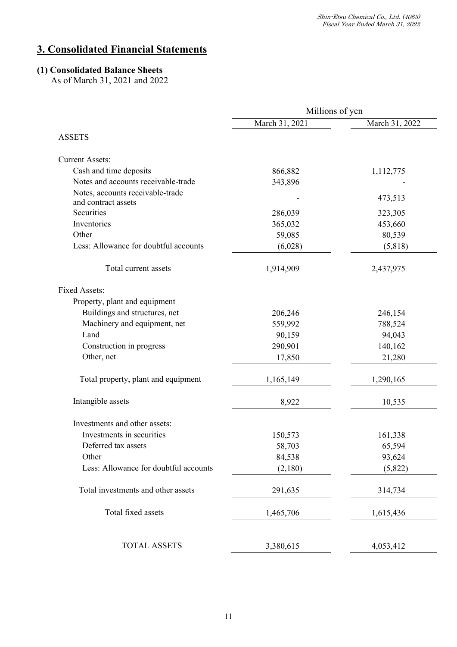# **3. Consolidated Financial Statements**

#### **(1) Consolidated Balance Sheets**

As of March 31, 2021 and 2022

|                                       | Millions of yen |                |
|---------------------------------------|-----------------|----------------|
|                                       | March 31, 2021  | March 31, 2022 |
| <b>ASSETS</b>                         |                 |                |
| <b>Current Assets:</b>                |                 |                |
| Cash and time deposits                | 866,882         | 1,112,775      |
| Notes and accounts receivable-trade   | 343,896         |                |
| Notes, accounts receivable-trade      |                 |                |
| and contract assets                   |                 | 473,513        |
| Securities                            | 286,039         | 323,305        |
| Inventories                           | 365,032         | 453,660        |
| Other                                 | 59,085          | 80,539         |
| Less: Allowance for doubtful accounts | (6,028)         | (5,818)        |
| Total current assets                  | 1,914,909       | 2,437,975      |
| <b>Fixed Assets:</b>                  |                 |                |
| Property, plant and equipment         |                 |                |
| Buildings and structures, net         | 206,246         | 246,154        |
| Machinery and equipment, net          | 559,992         | 788,524        |
| Land                                  | 90,159          | 94,043         |
| Construction in progress              | 290,901         | 140,162        |
| Other, net                            | 17,850          | 21,280         |
| Total property, plant and equipment   | 1,165,149       | 1,290,165      |
| Intangible assets                     | 8,922           | 10,535         |
| Investments and other assets:         |                 |                |
| Investments in securities             | 150,573         | 161,338        |
| Deferred tax assets                   | 58,703          | 65,594         |
| Other                                 | 84,538          | 93,624         |
| Less: Allowance for doubtful accounts | (2,180)         | (5,822)        |
| Total investments and other assets    | 291,635         | 314,734        |
| Total fixed assets                    | 1,465,706       | 1,615,436      |
|                                       |                 |                |
| <b>TOTAL ASSETS</b>                   | 3,380,615       | 4,053,412      |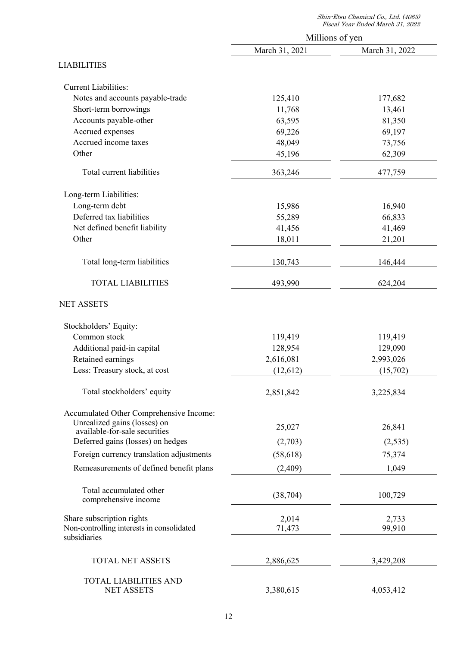|                                                                    |                | Millions of yen |
|--------------------------------------------------------------------|----------------|-----------------|
|                                                                    | March 31, 2021 | March 31, 2022  |
| <b>LIABILITIES</b>                                                 |                |                 |
| <b>Current Liabilities:</b>                                        |                |                 |
| Notes and accounts payable-trade                                   | 125,410        | 177,682         |
| Short-term borrowings                                              | 11,768         | 13,461          |
| Accounts payable-other                                             | 63,595         | 81,350          |
| Accrued expenses                                                   | 69,226         | 69,197          |
| Accrued income taxes                                               | 48,049         | 73,756          |
| Other                                                              | 45,196         | 62,309          |
| Total current liabilities                                          | 363,246        | 477,759         |
| Long-term Liabilities:                                             |                |                 |
| Long-term debt                                                     | 15,986         | 16,940          |
| Deferred tax liabilities                                           | 55,289         | 66,833          |
| Net defined benefit liability                                      | 41,456         | 41,469          |
| Other                                                              | 18,011         | 21,201          |
| Total long-term liabilities                                        | 130,743        | 146,444         |
| <b>TOTAL LIABILITIES</b>                                           | 493,990        | 624,204         |
| <b>NET ASSETS</b>                                                  |                |                 |
| Stockholders' Equity:                                              |                |                 |
| Common stock                                                       | 119,419        | 119,419         |
| Additional paid-in capital                                         | 128,954        | 129,090         |
| Retained earnings                                                  | 2,616,081      | 2,993,026       |
| Less: Treasury stock, at cost                                      | (12, 612)      | (15,702)        |
| Total stockholders' equity                                         | 2,851,842      | 3,225,834       |
| Accumulated Other Comprehensive Income:                            |                |                 |
| Unrealized gains (losses) on                                       | 25,027         | 26,841          |
| available-for-sale securities<br>Deferred gains (losses) on hedges |                |                 |
|                                                                    | (2,703)        | (2,535)         |
| Foreign currency translation adjustments                           | (58, 618)      | 75,374          |
| Remeasurements of defined benefit plans                            | (2,409)        | 1,049           |
| Total accumulated other                                            | (38, 704)      | 100,729         |
| comprehensive income                                               |                |                 |
| Share subscription rights                                          | 2,014          | 2,733           |
| Non-controlling interests in consolidated<br>subsidiaries          | 71,473         | 99,910          |
| <b>TOTAL NET ASSETS</b>                                            | 2,886,625      | 3,429,208       |
| <b>TOTAL LIABILITIES AND</b>                                       |                |                 |
| <b>NET ASSETS</b>                                                  | 3,380,615      | 4,053,412       |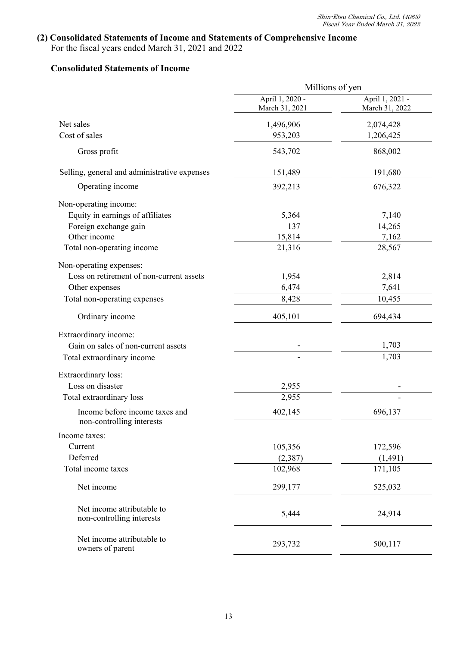## **(2) Consolidated Statements of Income and Statements of Comprehensive Income**

For the fiscal years ended March 31, 2021 and 2022

#### **Consolidated Statements of Income**

|                                                             | Millions of yen                   |                                   |
|-------------------------------------------------------------|-----------------------------------|-----------------------------------|
|                                                             | April 1, 2020 -<br>March 31, 2021 | April 1, 2021 -<br>March 31, 2022 |
| Net sales                                                   | 1,496,906                         | 2,074,428                         |
| Cost of sales                                               | 953,203                           | 1,206,425                         |
| Gross profit                                                | 543,702                           | 868,002                           |
| Selling, general and administrative expenses                | 151,489                           | 191,680                           |
| Operating income                                            | 392,213                           | 676,322                           |
| Non-operating income:                                       |                                   |                                   |
| Equity in earnings of affiliates                            | 5,364                             | 7,140                             |
| Foreign exchange gain                                       | 137                               | 14,265                            |
| Other income                                                | 15,814                            | 7,162                             |
| Total non-operating income                                  | 21,316                            | 28,567                            |
| Non-operating expenses:                                     |                                   |                                   |
| Loss on retirement of non-current assets                    | 1,954                             | 2,814                             |
| Other expenses                                              | 6,474                             | 7,641                             |
| Total non-operating expenses                                | 8,428                             | 10,455                            |
| Ordinary income                                             | 405,101                           | 694,434                           |
| Extraordinary income:                                       |                                   |                                   |
| Gain on sales of non-current assets                         |                                   | 1,703                             |
| Total extraordinary income                                  |                                   | 1,703                             |
| Extraordinary loss:                                         |                                   |                                   |
| Loss on disaster                                            | 2,955                             |                                   |
| Total extraordinary loss                                    | 2,955                             |                                   |
| Income before income taxes and<br>non-controlling interests | 402,145                           | 696,137                           |
| Income taxes:                                               |                                   |                                   |
| Current                                                     | 105,356                           | 172,596                           |
| Deferred                                                    | (2, 387)                          | (1, 491)                          |
| Total income taxes                                          | 102,968                           | 171,105                           |
| Net income                                                  | 299,177                           | 525,032                           |
| Net income attributable to<br>non-controlling interests     | 5,444                             | 24,914                            |
| Net income attributable to<br>owners of parent              | 293,732                           | 500,117                           |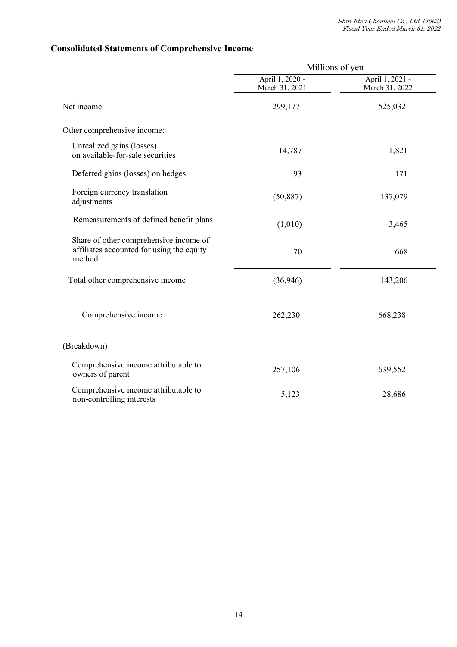# **Consolidated Statements of Comprehensive Income**

|                                                                                               |                                   | Millions of yen                   |
|-----------------------------------------------------------------------------------------------|-----------------------------------|-----------------------------------|
|                                                                                               | April 1, 2020 -<br>March 31, 2021 | April 1, 2021 -<br>March 31, 2022 |
| Net income                                                                                    | 299,177                           | 525,032                           |
| Other comprehensive income:                                                                   |                                   |                                   |
| Unrealized gains (losses)<br>on available-for-sale securities                                 | 14,787                            | 1,821                             |
| Deferred gains (losses) on hedges                                                             | 93                                | 171                               |
| Foreign currency translation<br>adjustments                                                   | (50, 887)                         | 137,079                           |
| Remeasurements of defined benefit plans                                                       | (1,010)                           | 3,465                             |
| Share of other comprehensive income of<br>affiliates accounted for using the equity<br>method | 70                                | 668                               |
| Total other comprehensive income                                                              | (36, 946)                         | 143,206                           |
| Comprehensive income                                                                          | 262,230                           | 668,238                           |
| (Breakdown)                                                                                   |                                   |                                   |
| Comprehensive income attributable to<br>owners of parent                                      | 257,106                           | 639,552                           |
| Comprehensive income attributable to<br>non-controlling interests                             | 5,123                             | 28,686                            |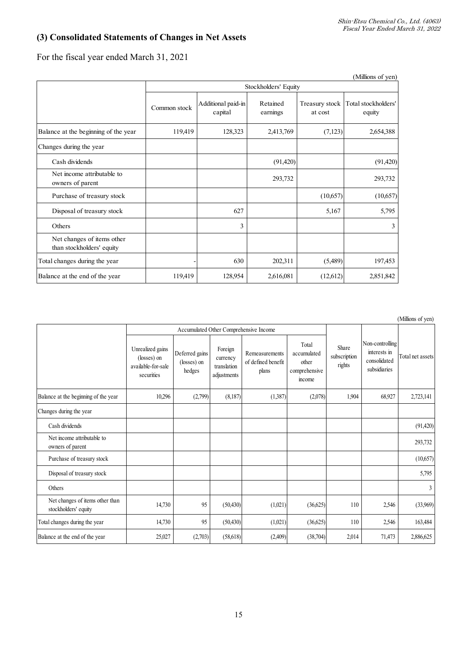## **(3) Consolidated Statements of Changes in Net Assets**

For the fiscal year ended March 31, 2021

|                                                         |              |                               |                      |                           | (Millions of yen)             |  |
|---------------------------------------------------------|--------------|-------------------------------|----------------------|---------------------------|-------------------------------|--|
|                                                         |              | Stockholders' Equity          |                      |                           |                               |  |
|                                                         | Common stock | Additional paid-in<br>capital | Retained<br>earnings | Treasury stock<br>at cost | Total stockholders'<br>equity |  |
| Balance at the beginning of the year                    | 119,419      | 128,323                       | 2,413,769            | (7,123)                   | 2,654,388                     |  |
| Changes during the year                                 |              |                               |                      |                           |                               |  |
| Cash dividends                                          |              |                               | (91, 420)            |                           | (91, 420)                     |  |
| Net income attributable to<br>owners of parent          |              |                               | 293,732              |                           | 293,732                       |  |
| Purchase of treasury stock                              |              |                               |                      | (10,657)                  | (10,657)                      |  |
| Disposal of treasury stock                              |              | 627                           |                      | 5,167                     | 5,795                         |  |
| Others                                                  |              | 3                             |                      |                           | 3                             |  |
| Net changes of items other<br>than stockholders' equity |              |                               |                      |                           |                               |  |
| Total changes during the year                           |              | 630                           | 202,311              | (5,489)                   | 197,453                       |  |
| Balance at the end of the year                          | 119,419      | 128,954                       | 2,616,081            | (12,612)                  | 2,851,842                     |  |

(Millions of yen)

|                                                         |                                                                     |                                         |                                                   |                                               |                                                          |                                 |                                                                 | $\sim$ $\sim$    |
|---------------------------------------------------------|---------------------------------------------------------------------|-----------------------------------------|---------------------------------------------------|-----------------------------------------------|----------------------------------------------------------|---------------------------------|-----------------------------------------------------------------|------------------|
|                                                         |                                                                     |                                         |                                                   | Accumulated Other Comprehensive Income        |                                                          |                                 |                                                                 |                  |
|                                                         | Unrealized gains<br>(losses) on<br>available-for-sale<br>securities | Deferred gains<br>(losses) on<br>hedges | Foreign<br>currency<br>translation<br>adjustments | Remeasurements<br>of defined benefit<br>plans | Total<br>accumulated<br>other<br>comprehensive<br>income | Share<br>subscription<br>rights | Non-controlling<br>interests in<br>consolidated<br>subsidiaries | Total net assets |
| Balance at the beginning of the year                    | 10,296                                                              | (2,799)                                 | (8,187)                                           | (1,387)                                       | (2,078)                                                  | 1,904                           | 68,927                                                          | 2,723,141        |
| Changes during the year                                 |                                                                     |                                         |                                                   |                                               |                                                          |                                 |                                                                 |                  |
| Cash dividends                                          |                                                                     |                                         |                                                   |                                               |                                                          |                                 |                                                                 | (91, 420)        |
| Net income attributable to<br>owners of parent          |                                                                     |                                         |                                                   |                                               |                                                          |                                 |                                                                 | 293,732          |
| Purchase of treasury stock                              |                                                                     |                                         |                                                   |                                               |                                                          |                                 |                                                                 | (10,657)         |
| Disposal of treasury stock                              |                                                                     |                                         |                                                   |                                               |                                                          |                                 |                                                                 | 5,795            |
| Others                                                  |                                                                     |                                         |                                                   |                                               |                                                          |                                 |                                                                 | 3                |
| Net changes of items other than<br>stockholders' equity | 14,730                                                              | 95                                      | (50, 430)                                         | (1,021)                                       | (36,625)                                                 | 110                             | 2,546                                                           | (33,969)         |
| Total changes during the year                           | 14,730                                                              | 95                                      | (50, 430)                                         | (1,021)                                       | (36,625)                                                 | 110                             | 2,546                                                           | 163,484          |
| Balance at the end of the year                          | 25,027                                                              | (2,703)                                 | (58,618)                                          | (2,409)                                       | (38,704)                                                 | 2,014                           | 71,473                                                          | 2,886,625        |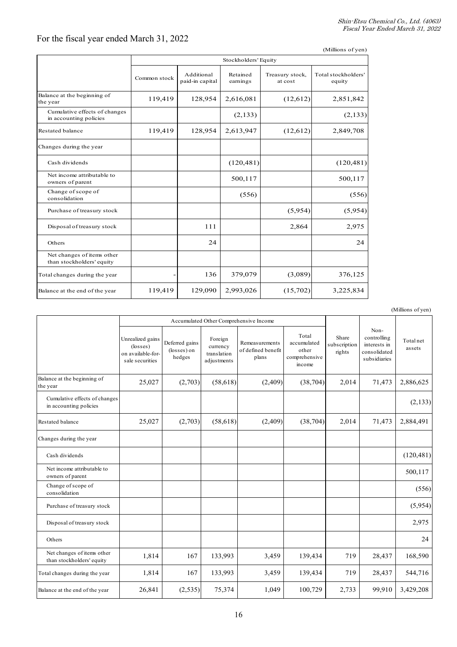## For the fiscal year ended March 31, 2022

|                                                         |                      |                               |                      |                            | (Millions of yen)             |  |  |  |  |
|---------------------------------------------------------|----------------------|-------------------------------|----------------------|----------------------------|-------------------------------|--|--|--|--|
|                                                         | Stockholders' Equity |                               |                      |                            |                               |  |  |  |  |
|                                                         | Common stock         | Additional<br>paid-in capital | Retained<br>earnings | Treasury stock,<br>at cost | Total stockholders'<br>equity |  |  |  |  |
| Balance at the beginning of<br>the year                 | 119,419              | 128,954                       | 2,616,081            | (12,612)                   | 2,851,842                     |  |  |  |  |
| Cumulative effects of changes<br>in accounting policies |                      |                               | (2,133)              |                            | (2,133)                       |  |  |  |  |
| Restated balance                                        | 119,419              | 128,954                       | 2,613,947            | (12,612)                   | 2,849,708                     |  |  |  |  |
| Changes during the year                                 |                      |                               |                      |                            |                               |  |  |  |  |
| Cash dividends                                          |                      |                               | (120, 481)           |                            | (120, 481)                    |  |  |  |  |
| Net income attributable to<br>owners of parent          |                      |                               | 500,117              |                            | 500,117                       |  |  |  |  |
| Change of scope of<br>consolidation                     |                      |                               | (556)                |                            | (556)                         |  |  |  |  |
| Purchase of treasury stock                              |                      |                               |                      | (5,954)                    | (5,954)                       |  |  |  |  |
| Disposal of treasury stock                              |                      | 111                           |                      | 2,864                      | 2,975                         |  |  |  |  |
| Others                                                  |                      | 24                            |                      |                            | 24                            |  |  |  |  |
| Net changes of items other<br>than stockholders' equity |                      |                               |                      |                            |                               |  |  |  |  |
| Total changes during the year                           |                      | 136                           | 379,079              | (3,089)                    | 376,125                       |  |  |  |  |
| Balance at the end of the year                          | 119,419              | 129,090                       | 2,993,026            | (15,702)                   | 3,225,834                     |  |  |  |  |

|                                                         |                                                                               |                                         |                                                   |                                               |                                                          |                                 |                                                                     | (Millions of yen)   |
|---------------------------------------------------------|-------------------------------------------------------------------------------|-----------------------------------------|---------------------------------------------------|-----------------------------------------------|----------------------------------------------------------|---------------------------------|---------------------------------------------------------------------|---------------------|
|                                                         |                                                                               |                                         |                                                   | Accumulated Other Comprehensive Income        |                                                          |                                 |                                                                     |                     |
|                                                         | Unrealized gains<br>$(\text{losses})$<br>on available-for-<br>sale securities | Deferred gains<br>(losses) on<br>hedges | Foreign<br>currency<br>translation<br>adjustments | Remeasurements<br>of defined benefit<br>plans | Total<br>accumulated<br>other<br>comprehensive<br>income | Share<br>subscription<br>rights | Non-<br>controlling<br>interests in<br>consolidated<br>subsidiaries | Total net<br>assets |
| Balance at the beginning of<br>the year                 | 25,027                                                                        | (2,703)                                 | (58, 618)                                         | (2,409)                                       | (38, 704)                                                | 2,014                           | 71,473                                                              | 2,886,625           |
| Cumulative effects of changes<br>in accounting policies |                                                                               |                                         |                                                   |                                               |                                                          |                                 |                                                                     | (2, 133)            |
| Restated balance                                        | 25,027                                                                        | (2,703)                                 | (58, 618)                                         | (2,409)                                       | (38, 704)                                                | 2,014                           | 71,473                                                              | 2,884,491           |
| Changes during the year                                 |                                                                               |                                         |                                                   |                                               |                                                          |                                 |                                                                     |                     |
| Cash dividends                                          |                                                                               |                                         |                                                   |                                               |                                                          |                                 |                                                                     | (120, 481)          |
| Net income attributable to<br>owners of parent          |                                                                               |                                         |                                                   |                                               |                                                          |                                 |                                                                     | 500,117             |
| Change of scope of<br>consolidation                     |                                                                               |                                         |                                                   |                                               |                                                          |                                 |                                                                     | (556)               |
| Purchase of treasury stock                              |                                                                               |                                         |                                                   |                                               |                                                          |                                 |                                                                     | (5,954)             |
| Disposal of treasury stock                              |                                                                               |                                         |                                                   |                                               |                                                          |                                 |                                                                     | 2,975               |
| Others                                                  |                                                                               |                                         |                                                   |                                               |                                                          |                                 |                                                                     | 24                  |
| Net changes of items other<br>than stockholders' equity | 1,814                                                                         | 167                                     | 133,993                                           | 3,459                                         | 139,434                                                  | 719                             | 28,437                                                              | 168,590             |
| Total changes during the year                           | 1,814                                                                         | 167                                     | 133,993                                           | 3,459                                         | 139,434                                                  | 719                             | 28,437                                                              | 544,716             |
| Balance at the end of the year                          | 26,841                                                                        | (2,535)                                 | 75,374                                            | 1,049                                         | 100,729                                                  | 2,733                           | 99,910                                                              | 3,429,208           |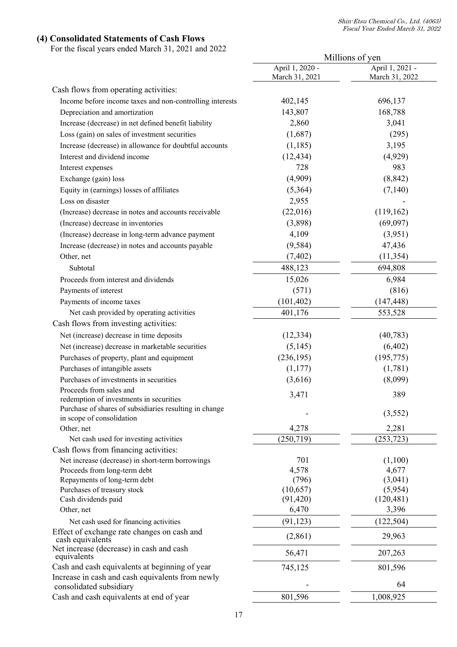#### **(4) Consolidated Statements of Cash Flows**

For the fiscal years ended March 31, 2021 and 2022

|                                                                             |                                   | Millions of yen                   |  |  |
|-----------------------------------------------------------------------------|-----------------------------------|-----------------------------------|--|--|
|                                                                             | April 1, 2020 -<br>March 31, 2021 | April 1, 2021 -<br>March 31, 2022 |  |  |
| Cash flows from operating activities:                                       |                                   |                                   |  |  |
| Income before income taxes and non-controlling interests                    | 402,145                           | 696,137                           |  |  |
| Depreciation and amortization                                               | 143,807                           | 168,788                           |  |  |
| Increase (decrease) in net defined benefit liability                        | 2,860                             | 3,041                             |  |  |
| Loss (gain) on sales of investment securities                               | (1,687)                           | (295)                             |  |  |
| Increase (decrease) in allowance for doubtful accounts                      | (1, 185)                          | 3,195                             |  |  |
| Interest and dividend income                                                | (12, 434)                         | (4,929)                           |  |  |
| Interest expenses                                                           | 728                               | 983                               |  |  |
| Exchange (gain) loss                                                        | (4,909)                           | (8, 842)                          |  |  |
| Equity in (earnings) losses of affiliates                                   | (5,364)                           | (7,140)                           |  |  |
| Loss on disaster                                                            | 2,955                             |                                   |  |  |
| (Increase) decrease in notes and accounts receivable                        | (22,016)                          | (119,162)                         |  |  |
| (Increase) decrease in inventories                                          | (3,898)                           | (69,097)                          |  |  |
| (Increase) decrease in long-term advance payment                            | 4,109                             | (3,951)                           |  |  |
| Increase (decrease) in notes and accounts payable                           | (9, 584)                          | 47,436                            |  |  |
| Other, net                                                                  | (7, 402)                          | (11, 354)                         |  |  |
| Subtotal                                                                    | 488,123                           | 694,808                           |  |  |
| Proceeds from interest and dividends                                        | 15,026                            | 6,984                             |  |  |
| Payments of interest                                                        | (571)                             | (816)                             |  |  |
| Payments of income taxes                                                    | (101, 402)                        | (147, 448)                        |  |  |
| Net cash provided by operating activities                                   | 401,176                           | 553,528                           |  |  |
| Cash flows from investing activities:                                       |                                   |                                   |  |  |
|                                                                             |                                   |                                   |  |  |
| Net (increase) decrease in time deposits                                    | (12, 334)                         | (40, 783)                         |  |  |
| Net (increase) decrease in marketable securities                            | (5, 145)                          | (6, 402)                          |  |  |
| Purchases of property, plant and equipment                                  | (236, 195)                        | (195, 775)                        |  |  |
| Purchases of intangible assets                                              | (1, 177)                          | (1,781)                           |  |  |
| Purchases of investments in securities                                      | (3,616)                           | (8,099)                           |  |  |
| Proceeds from sales and<br>redemption of investments in securities          | 3,471                             | 389                               |  |  |
| Purchase of shares of subsidiaries resulting in change                      |                                   |                                   |  |  |
| in scope of consolidation                                                   |                                   | (3,552)                           |  |  |
| Other, net                                                                  | 4,278                             | 2,281                             |  |  |
| Net cash used for investing activities                                      | $\sqrt{250,719}$                  | $\overline{(253,723)}$            |  |  |
| Cash flows from financing activities:                                       |                                   |                                   |  |  |
| Net increase (decrease) in short-term borrowings                            | 701                               | (1,100)                           |  |  |
| Proceeds from long-term debt                                                | 4,578                             | 4,677                             |  |  |
| Repayments of long-term debt                                                | (796)                             | (3,041)                           |  |  |
| Purchases of treasury stock                                                 | (10, 657)                         | (5,954)                           |  |  |
| Cash dividends paid                                                         | (91, 420)                         | (120, 481)                        |  |  |
| Other, net                                                                  | 6,470                             | 3,396                             |  |  |
| Net cash used for financing activities                                      | (91, 123)                         | (122, 504)                        |  |  |
| Effect of exchange rate changes on cash and<br>cash equivalents             | (2,861)                           | 29,963                            |  |  |
| Net increase (decrease) in cash and cash<br>equivalents                     | 56,471                            | 207,263                           |  |  |
| Cash and cash equivalents at beginning of year                              | 745,125                           | 801,596                           |  |  |
| Increase in cash and cash equivalents from newly<br>consolidated subsidiary |                                   | 64                                |  |  |
| Cash and cash equivalents at end of year                                    | 801,596                           | 1,008,925                         |  |  |
|                                                                             |                                   |                                   |  |  |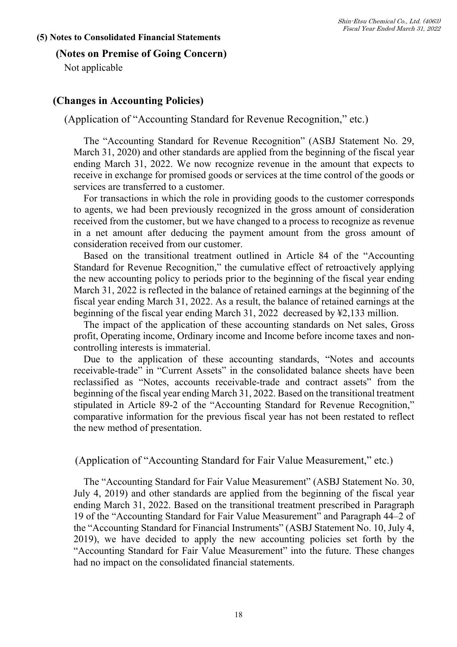#### **(5) Notes to Consolidated Financial Statements**

#### **(Notes on Premise of Going Concern)**

Not applicable

## **(Changes in Accounting Policies)**

#### (Application of "Accounting Standard for Revenue Recognition," etc.)

The "Accounting Standard for Revenue Recognition" (ASBJ Statement No. 29, March 31, 2020) and other standards are applied from the beginning of the fiscal year ending March 31, 2022. We now recognize revenue in the amount that expects to receive in exchange for promised goods or services at the time control of the goods or services are transferred to a customer.

For transactions in which the role in providing goods to the customer corresponds to agents, we had been previously recognized in the gross amount of consideration received from the customer, but we have changed to a process to recognize as revenue in a net amount after deducing the payment amount from the gross amount of consideration received from our customer.

Based on the transitional treatment outlined in Article 84 of the "Accounting Standard for Revenue Recognition," the cumulative effect of retroactively applying the new accounting policy to periods prior to the beginning of the fiscal year ending March 31, 2022 is reflected in the balance of retained earnings at the beginning of the fiscal year ending March 31, 2022. As a result, the balance of retained earnings at the beginning of the fiscal year ending March 31, 2022 decreased by ¥2,133 million.

The impact of the application of these accounting standards on Net sales, Gross profit, Operating income, Ordinary income and Income before income taxes and noncontrolling interests is immaterial.

Due to the application of these accounting standards, "Notes and accounts receivable-trade" in "Current Assets" in the consolidated balance sheets have been reclassified as "Notes, accounts receivable-trade and contract assets" from the beginning of the fiscal year ending March 31, 2022. Based on the transitional treatment stipulated in Article 89-2 of the "Accounting Standard for Revenue Recognition," comparative information for the previous fiscal year has not been restated to reflect the new method of presentation.

(Application of "Accounting Standard for Fair Value Measurement," etc.)

The "Accounting Standard for Fair Value Measurement" (ASBJ Statement No. 30, July 4, 2019) and other standards are applied from the beginning of the fiscal year ending March 31, 2022. Based on the transitional treatment prescribed in Paragraph 19 of the "Accounting Standard for Fair Value Measurement" and Paragraph 44–2 of the "Accounting Standard for Financial Instruments" (ASBJ Statement No. 10, July 4, 2019), we have decided to apply the new accounting policies set forth by the "Accounting Standard for Fair Value Measurement" into the future. These changes had no impact on the consolidated financial statements.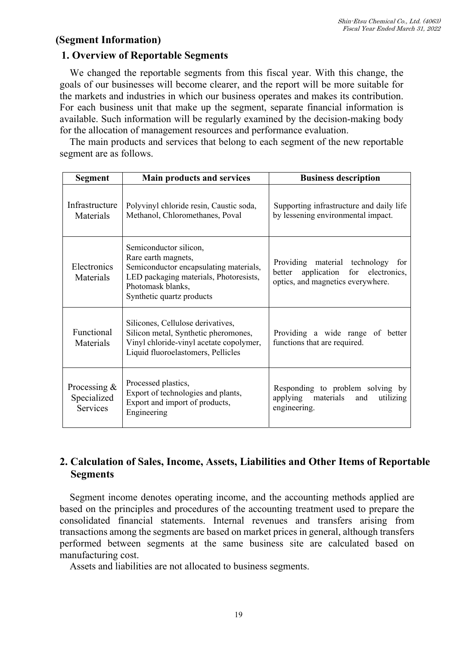## **(Segment Information)**

## **1. Overview of Reportable Segments**

We changed the reportable segments from this fiscal year. With this change, the goals of our businesses will become clearer, and the report will be more suitable for the markets and industries in which our business operates and makes its contribution. For each business unit that make up the segment, separate financial information is available. Such information will be regularly examined by the decision-making body for the allocation of management resources and performance evaluation.

The main products and services that belong to each segment of the new reportable segment are as follows.

| <b>Segment</b>                                   | <b>Main products and services</b>                                                                                                                                                   | <b>Business description</b>                                                                                      |
|--------------------------------------------------|-------------------------------------------------------------------------------------------------------------------------------------------------------------------------------------|------------------------------------------------------------------------------------------------------------------|
| Infrastructure<br>Materials                      | Polyvinyl chloride resin, Caustic soda,<br>Methanol, Chloromethanes, Poval                                                                                                          | Supporting infrastructure and daily life<br>by lessening environmental impact.                                   |
| Electronics<br>Materials                         | Semiconductor silicon,<br>Rare earth magnets,<br>Semiconductor encapsulating materials,<br>LED packaging materials, Photoresists,<br>Photomask blanks,<br>Synthetic quartz products | Providing material technology for<br>application for electronics,<br>better<br>optics, and magnetics everywhere. |
| Functional<br>Materials                          | Silicones, Cellulose derivatives,<br>Silicon metal, Synthetic pheromones,<br>Vinyl chloride-vinyl acetate copolymer,<br>Liquid fluoroelastomers, Pellicles                          | Providing a wide range of better<br>functions that are required.                                                 |
| Processing $&$<br>Specialized<br><b>Services</b> | Processed plastics,<br>Export of technologies and plants,<br>Export and import of products,<br>Engineering                                                                          | Responding to problem solving by<br>applying materials<br>and<br>utilizing<br>engineering.                       |

# **2. Calculation of Sales, Income, Assets, Liabilities and Other Items of Reportable Segments**

Segment income denotes operating income, and the accounting methods applied are based on the principles and procedures of the accounting treatment used to prepare the consolidated financial statements. Internal revenues and transfers arising from transactions among the segments are based on market prices in general, although transfers performed between segments at the same business site are calculated based on manufacturing cost.

Assets and liabilities are not allocated to business segments.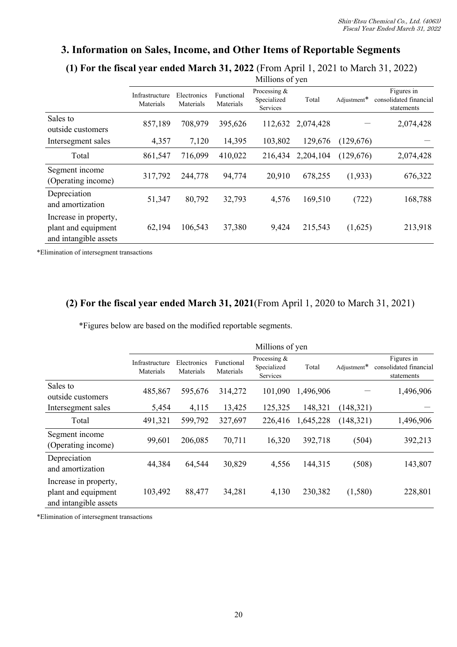# **3. Information on Sales, Income, and Other Items of Reportable Segments**

**(1) For the fiscal year ended March 31, 2022** (From April 1, 2021 to March 31, 2022)

|                                                                       |                             |                          |                         | Millions of yen                           |           |             |                                                    |
|-----------------------------------------------------------------------|-----------------------------|--------------------------|-------------------------|-------------------------------------------|-----------|-------------|----------------------------------------------------|
|                                                                       | Infrastructure<br>Materials | Electronics<br>Materials | Functional<br>Materials | Processing $&$<br>Specialized<br>Services | Total     | Adjustment* | Figures in<br>consolidated financial<br>statements |
| Sales to<br>outside customers                                         | 857,189                     | 708,979                  | 395,626                 | 112,632                                   | 2,074,428 |             | 2,074,428                                          |
| Intersegment sales                                                    | 4,357                       | 7,120                    | 14,395                  | 103,802                                   | 129,676   | (129,676)   |                                                    |
| Total                                                                 | 861,547                     | 716,099                  | 410,022                 | 216,434                                   | 2,204,104 | (129,676)   | 2,074,428                                          |
| Segment income<br>(Operating income)                                  | 317,792                     | 244,778                  | 94,774                  | 20,910                                    | 678,255   | (1,933)     | 676,322                                            |
| Depreciation<br>and amortization                                      | 51,347                      | 80,792                   | 32,793                  | 4,576                                     | 169,510   | (722)       | 168,788                                            |
| Increase in property,<br>plant and equipment<br>and intangible assets | 62,194                      | 106,543                  | 37,380                  | 9,424                                     | 215,543   | (1,625)     | 213,918                                            |

\*Elimination of intersegment transactions

## **(2) For the fiscal year ended March 31, 2021**(From April 1, 2020 to March 31, 2021)

\*Figures below are based on the modified reportable segments.

|                                                                       |                             |                          |                         | Millions of yen                         |           |             |                                                    |
|-----------------------------------------------------------------------|-----------------------------|--------------------------|-------------------------|-----------------------------------------|-----------|-------------|----------------------------------------------------|
|                                                                       | Infrastructure<br>Materials | Electronics<br>Materials | Functional<br>Materials | Processing &<br>Specialized<br>Services | Total     | Adjustment* | Figures in<br>consolidated financial<br>statements |
| Sales to<br>outside customers                                         | 485,867                     | 595,676                  | 314,272                 | 101,090                                 | 1,496,906 |             | 1,496,906                                          |
| Intersegment sales                                                    | 5,454                       | 4,115                    | 13,425                  | 125,325                                 | 148,321   | (148,321)   |                                                    |
| Total                                                                 | 491,321                     | 599,792                  | 327,697                 | 226,416                                 | 1,645,228 | (148,321)   | 1,496,906                                          |
| Segment income<br>(Operating income)                                  | 99,601                      | 206,085                  | 70,711                  | 16,320                                  | 392,718   | (504)       | 392,213                                            |
| Depreciation<br>and amortization                                      | 44,384                      | 64,544                   | 30,829                  | 4,556                                   | 144,315   | (508)       | 143,807                                            |
| Increase in property,<br>plant and equipment<br>and intangible assets | 103,492                     | 88,477                   | 34,281                  | 4,130                                   | 230,382   | (1,580)     | 228,801                                            |

\*Elimination of intersegment transactions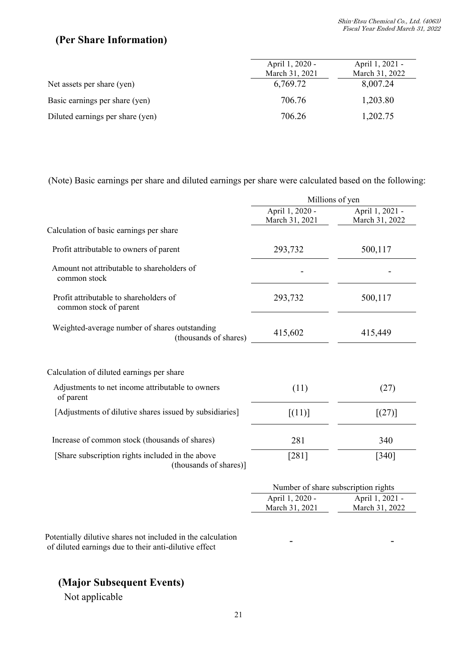# **(Per Share Information)**

|                                  | April 1, 2020 - | April 1, 2021 - |
|----------------------------------|-----------------|-----------------|
|                                  | March 31, 2021  | March 31, 2022  |
| Net assets per share (yen)       | 6,769.72        | 8,007.24        |
| Basic earnings per share (yen)   | 706.76          | 1,203.80        |
| Diluted earnings per share (yen) | 706.26          | 1,202.75        |

(Note) Basic earnings per share and diluted earnings per share were calculated based on the following:

|                                                                            |                                   | Millions of yen                     |
|----------------------------------------------------------------------------|-----------------------------------|-------------------------------------|
|                                                                            | April 1, 2020 -<br>March 31, 2021 | April 1, 2021 -<br>March 31, 2022   |
| Calculation of basic earnings per share                                    |                                   |                                     |
| Profit attributable to owners of parent                                    | 293,732                           | 500,117                             |
| Amount not attributable to shareholders of<br>common stock                 |                                   |                                     |
| Profit attributable to shareholders of<br>common stock of parent           | 293,732                           | 500,117                             |
| Weighted-average number of shares outstanding<br>(thousands of shares)     | 415,602                           | 415,449                             |
| Calculation of diluted earnings per share                                  |                                   |                                     |
| Adjustments to net income attributable to owners<br>of parent              | (11)                              | (27)                                |
| [Adjustments of dilutive shares issued by subsidiaries]                    | [(11)]                            | $[(27)]$                            |
| Increase of common stock (thousands of shares)                             | 281                               | 340                                 |
| [Share subscription rights included in the above<br>(thousands of shares)] | [281]                             | $[340]$                             |
|                                                                            |                                   | Number of share subscription rights |
|                                                                            | April 1, 2020 -<br>March 31, 2021 | April 1, 2021 -<br>March 31, 2022   |

Potentially dilutive shares not included in the calculation of diluted earnings due to their anti-dilutive effect

# **(Major Subsequent Events)**

Not applicable

- -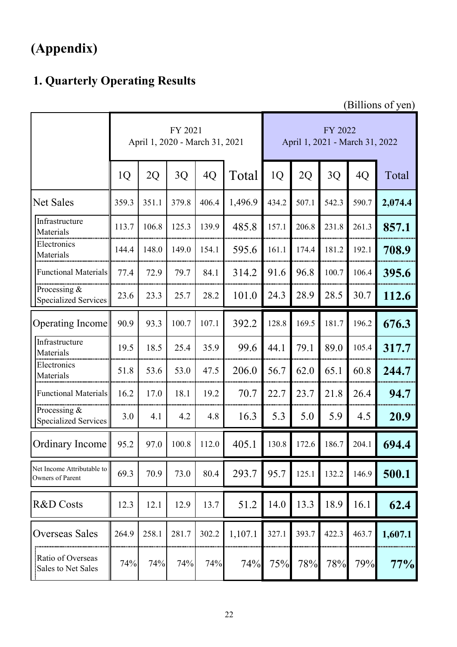# **(Appendix)**

# **1. Quarterly Operating Results**

(Billions of yen)

|                                                | FY 2021<br>April 1, 2020 - March 31, 2021 |       |       |       |         |       |       | FY 2022 | April 1, 2021 - March 31, 2022 |         |
|------------------------------------------------|-------------------------------------------|-------|-------|-------|---------|-------|-------|---------|--------------------------------|---------|
|                                                | 1 <sub>Q</sub>                            | 2Q    | 3Q    | 4Q    | Total   | 1Q    | 2Q    | 3Q      | 4Q                             | Total   |
| Net Sales                                      | 359.3                                     | 351.1 | 379.8 | 406.4 | 1,496.9 | 434.2 | 507.1 | 542.3   | 590.7                          | 2,074.4 |
| Infrastructure<br>Materials                    | 113.7                                     | 106.8 | 125.3 | 139.9 | 485.8   | 157.1 | 206.8 | 231.8   | 261.3                          | 857.1   |
| Electronics<br>Materials                       | 144.4                                     | 148.0 | 149.0 | 154.1 | 595.6   | 161.1 | 174.4 | 181.2   | 192.1                          | 708.9   |
| <b>Functional Materials</b>                    | 77.4                                      | 72.9  | 79.7  | 84.1  | 314.2   | 91.6  | 96.8  | 100.7   | 106.4                          | 395.6   |
| Processing &<br><b>Specialized Services</b>    | 23.6                                      | 23.3  | 25.7  | 28.2  | 101.0   | 24.3  | 28.9  | 28.5    | 30.7                           | 112.6   |
| Operating Income                               | 90.9                                      | 93.3  | 100.7 | 107.1 | 392.2   | 128.8 | 169.5 | 181.7   | 196.2                          | 676.3   |
| Infrastructure<br>Materials                    | 19.5                                      | 18.5  | 25.4  | 35.9  | 99.6    | 44.1  | 79.1  | 89.0    | 105.4                          | 317.7   |
| Electronics<br>Materials                       | 51.8                                      | 53.6  | 53.0  | 47.5  | 206.0   | 56.7  | 62.0  | 65.1    | 60.8                           | 244.7   |
| <b>Functional Materials</b>                    | 16.2                                      | 17.0  | 18.1  | 19.2  | 70.7    | 22.7  | 23.7  | 21.8    | 26.4                           | 94.7    |
| Processing &<br><b>Specialized Services</b>    | 3.0                                       | 4.1   | 4.2   | 4.8   | 16.3    | 5.3   | 5.0   | 5.9     | 4.5                            | 20.9    |
| <b>Ordinary Income</b>                         | 95.2                                      | 97.0  | 100.8 | 112.0 | 405.1   | 130.8 | 172.6 | 186.7   | 204.1                          | 694.4   |
| Net Income Attributable to<br>Owners of Parent | 69.3                                      | 70.9  | 73.0  | 80.4  | 293.7   | 95.7  | 125.1 | 132.2   | 146.9                          | 500.1   |
| R&D Costs                                      | 12.3                                      | 12.1  | 12.9  | 13.7  | 51.2    | 14.0  | 13.3  | 18.9    | 16.1                           | 62.4    |
| <b>Overseas Sales</b>                          | 264.9                                     | 258.1 | 281.7 | 302.2 | 1,107.1 | 327.1 | 393.7 | 422.3   | 463.7                          | 1,607.1 |
| Ratio of Overseas<br>Sales to Net Sales        | 74%                                       | 74%   | 74%   | 74%   | 74%     | 75%   | 78%   | 78%     | 79%                            | 77%     |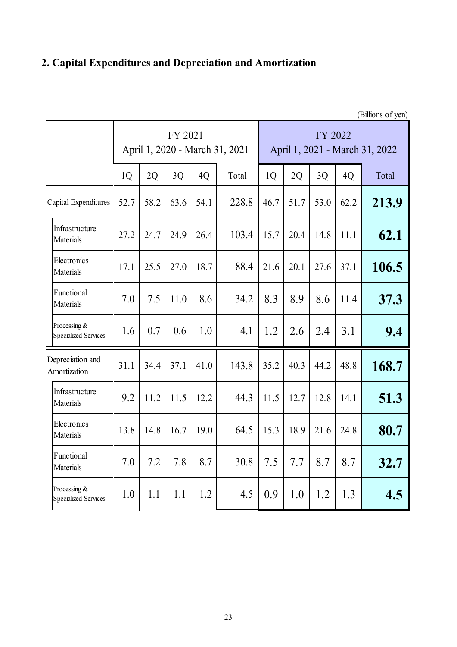# **2. Capital Expenditures and Depreciation and Amortization**

|                                             | (Billions of yen) |      |         |      |                                |                                           |      |      |      |       |  |
|---------------------------------------------|-------------------|------|---------|------|--------------------------------|-------------------------------------------|------|------|------|-------|--|
|                                             |                   |      | FY 2021 |      | April 1, 2020 - March 31, 2021 | FY 2022<br>April 1, 2021 - March 31, 2022 |      |      |      |       |  |
|                                             | 1Q                | 2Q   | 3Q      | 4Q   | Total                          | 1 <sub>Q</sub>                            | 2Q   | 3Q   | 4Q   | Total |  |
| Capital Expenditures                        | 52.7              | 58.2 | 63.6    | 54.1 | 228.8                          | 46.7                                      | 51.7 | 53.0 | 62.2 | 213.9 |  |
| Infrastructure<br>Materials                 | 27.2              | 24.7 | 24.9    | 26.4 | 103.4                          | 15.7                                      | 20.4 | 14.8 | 11.1 | 62.1  |  |
| Electronics<br>Materials                    | 17.1              | 25.5 | 27.0    | 18.7 | 88.4                           | 21.6                                      | 20.1 | 27.6 | 37.1 | 106.5 |  |
| Functional<br>Materials                     | 7.0               | 7.5  | 11.0    | 8.6  | 34.2                           | 8.3                                       | 8.9  | 8.6  | 11.4 | 37.3  |  |
| Processing &<br><b>Specialized Services</b> | 1.6               | 0.7  | 0.6     | 1.0  | 4.1                            | 1.2                                       | 2.6  | 2.4  | 3.1  | 9.4   |  |
| Depreciation and<br>Amortization            | 31.1              | 34.4 | 37.1    | 41.0 | 143.8                          | 35.2                                      | 40.3 | 44.2 | 48.8 | 168.7 |  |
| Infrastructure<br>Materials                 | 9.2               | 11.2 | 11.5    | 12.2 | 44.3                           | 11.5                                      | 12.7 | 12.8 | 14.1 | 51.3  |  |
| Electronics<br>Materials                    | 13.8              | 14.8 | 16.7    | 19.0 | 64.5                           | 15.3                                      | 18.9 | 21.6 | 24.8 | 80.7  |  |
| Functional<br>Materials                     | 7.0               | 7.2  | 7.8     | 8.7  | 30.8                           | 7.5                                       | 7.7  | 8.7  | 8.7  | 32.7  |  |
| Processing &<br><b>Specialized Services</b> | 1.0               | 1.1  | 1.1     | 1.2  | 4.5                            | 0.9                                       | 1.0  | 1.2  | 1.3  | 4.5   |  |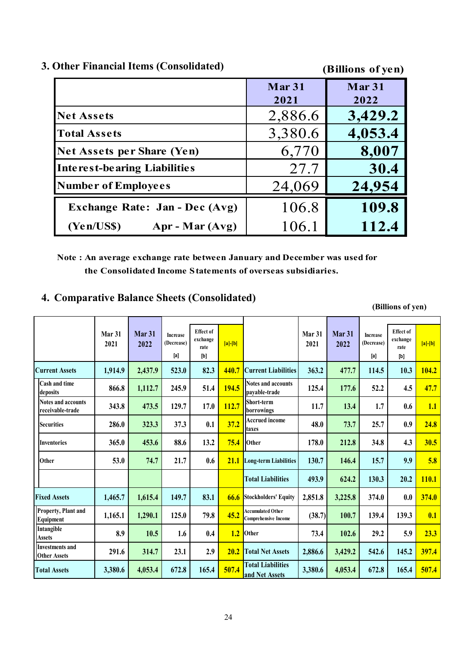|  |  | 3. Other Financial Items (Consolidated) |  |  |  |
|--|--|-----------------------------------------|--|--|--|
|--|--|-----------------------------------------|--|--|--|

**(Billions of yen)**

|                                       | Mar 31<br>2021 | Mar 31<br>2022 |
|---------------------------------------|----------------|----------------|
| <b>Net Assets</b>                     | 2,886.6        | 3,429.2        |
| <b>Total Assets</b>                   | 3,380.6        | 4,053.4        |
| Net Assets per Share (Yen)            | 6,770          | 8,007          |
| Interest-bearing Liabilities          | 27.7           | 30.4           |
| <b>Number of Employees</b>            | 24,069         | 24,954         |
| <b>Exchange Rate: Jan - Dec (Avg)</b> | 106.8          | 109.8          |
| Apr - Mar (Avg)<br>(Yen/USS)          | 106.1          | 112.4          |

**Note : An average exchange rate between January and December was used for the Consolidated Income Statements of overseas subsidiaries.**

## **4. Comparative Balance Sheets (Consolidated)**

**Effect of exchange rate [a]-[b] Effect of exchange rate [a]-[b] Current Assets 1,914.9 2,437.9 523.0 82.3 440.7 Current Liabilities 363.2 477.7 114.5 10.3 104.2 Cash and time deposits 866.8 1,112.7 245.9 51.4 194.5 Notes and accounts payable-trade 125.4 177.6 52.2 4.5 47.7 Notes and accounts receivable-trade 343.8 473.5 129.7 17.0 112.7 Short-term bort-term**<br>**borrowings** 11.7 13.4 1.7 0.6 1.1 **Securities 286.0 2286.0 223.3 37.3 0.1 37.2 Accrued income taxes 48.0 73.7 25.7 0.9 24.8 Inventories 365.0 453.6 88.6 13.2 75.4 Other 178.0 212.8 34.8 4.3 30.5 Other 53.0 74.7 21.7 0.6 21.1 Long-term Liabilities 130.7 146.4 15.7 9.9 5.8 Total Liabilities 493.9 624.2 130.3 20.2 110.1 Fixed Assets 1,465.7 1,615.4 149.7 83.1 66.6 Stockholders' Equity 2,851.8 3,225.8 374.0 0.0 374.0** 1,165.1 **1,290.1** 125.0 79.8  $\frac{45.2}{\text{Compare} }$  **Comprehensive Income** (38.7) 100.7 139.4 139.3 0.1 **8.9 10.5 1.6 0.4 1.2 73.4 102.6 29.2 5.9 23.3 291.6 314.7 23.1 2.9 20.2 2,886.6 3,429.2 542.6 145.2 397.4 Total Assets 3,380.6 4,053.4 672.8 165.4 507.4 3,380.6 4,053.4 672.8 165.4 507.4 Total Liabilities and Net Assets Increase (Decrease) Property, Plant and Equipment Accumulated Other Intangible** Assets **being the contract of the contract of the contract of the contract of the contract of the contract of the contract of the contract of the contract of the contract of the contract of the contract of the contract of Mar 31 2021 Mar 31 2022 Increase (Decrease) Mar 31 2021 Mar 31 2022 Investments and Other Assets The Contract Assets Total Net Assets Total Net Assets [a] [b] [a] [b]**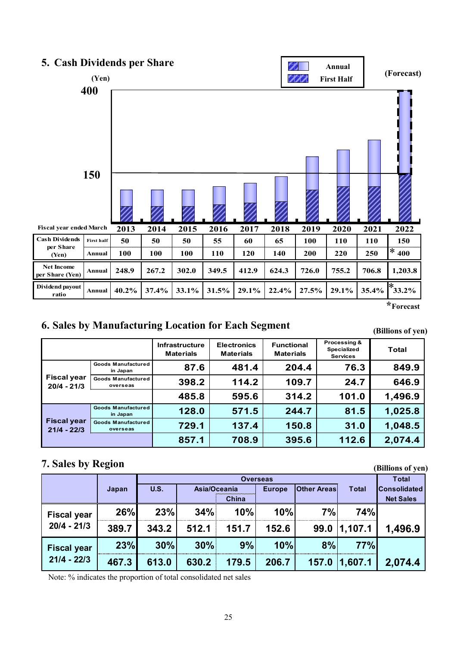

**<sup>\*</sup>Forecast**

# **6. Sales by Manufacturing Location for Each Segment**

**(Billions of yen)**

**(Billions of yen)**

|                                     |                                       | <b>Infrastructure</b><br><b>Materials</b> | <b>Electronics</b><br><b>Materials</b> | <b>Functional</b><br><b>Materials</b> | Processing &<br>Specialized<br><b>Services</b> | <b>Total</b> |  |
|-------------------------------------|---------------------------------------|-------------------------------------------|----------------------------------------|---------------------------------------|------------------------------------------------|--------------|--|
|                                     | <b>Goods Manufactured</b><br>in Japan | 87.6                                      | 481.4                                  | 204.4                                 | 76.3                                           | 849.9        |  |
| <b>Fiscal year</b><br>$20/4 - 21/3$ | <b>Goods Manufactured</b><br>overseas | 398.2                                     | 114.2                                  | 109.7                                 | 24.7                                           | 646.9        |  |
|                                     |                                       | 485.8                                     | 595.6                                  | 314.2                                 | 101.0                                          | 1,496.9      |  |
| <b>Fiscal year</b><br>$21/4 - 22/3$ | <b>Goods Manufactured</b><br>in Japan | 128.0                                     | 571.5                                  | 244.7                                 | 81.5                                           | 1,025.8      |  |
|                                     | <b>Goods Manufactured</b><br>overseas | 729.1                                     | 137.4                                  | 150.8                                 | 31.0                                           | 1,048.5      |  |
|                                     |                                       | 857.1                                     | 708.9                                  | 395.6                                 | 112.6                                          | 2,074.4      |  |

# **7. Sales by Region**

|                    |       |       | <b>Overseas</b> |              |       |                    |              |                     |  |  |
|--------------------|-------|-------|-----------------|--------------|-------|--------------------|--------------|---------------------|--|--|
|                    | Japan | U.S.  |                 | Asia/Oceania |       | <b>Other Areas</b> | <b>Total</b> | <b>Consolidated</b> |  |  |
|                    |       |       |                 | China        |       |                    |              | <b>Net Sales</b>    |  |  |
| <b>Fiscal year</b> | 26%   | 23%   | 34%             | 10%          | 10%   | 7%                 | <b>74%</b>   |                     |  |  |
| $20/4 - 21/3$      | 389.7 | 343.2 | 512.1           | 151.7        | 152.6 | 99.0               | 1,107.1      | 1,496.9             |  |  |
| <b>Fiscal year</b> | 23%   | 30%   | 30%             | 9%           | 10%   | 8%                 | 77%          |                     |  |  |
| $21/4 - 22/3$      | 467.3 | 613.0 | 630.2           | 179.5        | 206.7 | 157.0              | 1,607.1      | 2,074.4             |  |  |

Note: % indicates the proportion of total consolidated net sales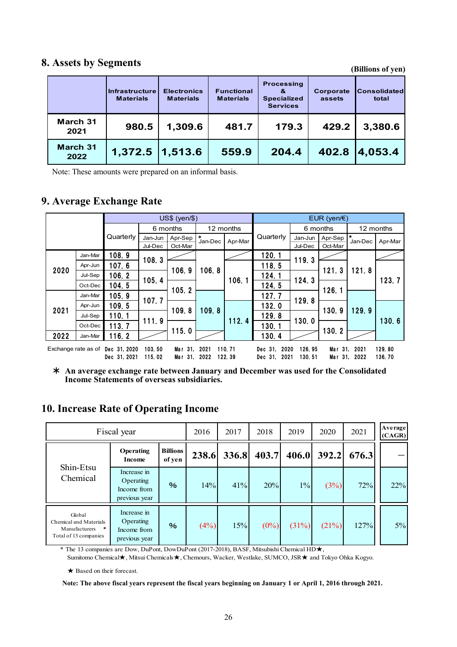## **8. Assets by Segments**

**(Billions of yen)**

|                         | <b>Infrastructure</b><br><b>Materials</b> | <b>Electronics</b><br><b>Materials</b> | <b>Functional</b><br><b>Materials</b> | <b>Processing</b><br>&<br><b>Specialized</b><br><b>Services</b> | Corporate<br>assets | lConsolidatedl<br>total |
|-------------------------|-------------------------------------------|----------------------------------------|---------------------------------------|-----------------------------------------------------------------|---------------------|-------------------------|
| March 31<br>2021        | 980.5                                     | 1,309.6                                | 481.7                                 | 179.3                                                           | 429.2               | 3,380.6                 |
| <b>March 31</b><br>2022 | $1,372.5$   1,513.6                       |                                        | 559.9                                 | 204.4                                                           | 402.8               | 4,053.4                 |

Note: These amounts were prepared on an informal basis.

# **9. Average Exchange Rate**

|                                                                                                                         |         |              | $US$$ (yen/ $$$ ) |         |                   |         |                 | EUR (yen/ $\notin$ ) |          |               |           |  |  |  |  |  |       |       |       |  |       |
|-------------------------------------------------------------------------------------------------------------------------|---------|--------------|-------------------|---------|-------------------|---------|-----------------|----------------------|----------|---------------|-----------|--|--|--|--|--|-------|-------|-------|--|-------|
|                                                                                                                         |         |              | 6 months          |         | 12 months         |         |                 |                      | 6 months |               | 12 months |  |  |  |  |  |       |       |       |  |       |
|                                                                                                                         |         | Quarterly    | Jan-Jun           | Apr-Sep | $\ast$<br>Jan-Dec | Apr-Mar | Quarterly       | Jan-Jun              | Apr-Sep  | I∗<br>Jan-Dec | Apr-Mar   |  |  |  |  |  |       |       |       |  |       |
|                                                                                                                         |         |              | Jul-Dec           | Oct-Mar |                   |         |                 | Jul-Dec              | Oct-Mar  |               |           |  |  |  |  |  |       |       |       |  |       |
|                                                                                                                         | Jan-Mar | 108.9        | 108.3             |         |                   |         | 120.1           | 119.3                |          |               |           |  |  |  |  |  |       |       |       |  |       |
| 2020                                                                                                                    | Apr-Jun | 107.6        |                   | 106.9   |                   |         |                 | 118.5                |          | 121.3         |           |  |  |  |  |  |       |       |       |  |       |
|                                                                                                                         | Jul-Sep | 106.2        |                   |         | 106.8             |         | 124.1           |                      |          | 121.8         | 123.7     |  |  |  |  |  |       |       |       |  |       |
|                                                                                                                         | Oct-Dec | 104.5        | 105.4             |         |                   | 106.1   | 124.5           | 124.3                | 126.1    |               |           |  |  |  |  |  |       |       |       |  |       |
|                                                                                                                         | Jan-Mar | 105.9        | 107.7             | 105.2   |                   |         | 127.7           | 129.8                |          |               |           |  |  |  |  |  |       |       |       |  |       |
| 2021                                                                                                                    | Apr-Jun | 109.5        |                   | 109.8   | 109.8             |         | 132.0           |                      | 130.9    |               |           |  |  |  |  |  |       |       |       |  |       |
|                                                                                                                         | Jul-Sep | 110.1        | 111.9             |         |                   |         |                 |                      |          |               |           |  |  |  |  |  | 112.4 | 129.8 | 130.0 |  | 129.9 |
|                                                                                                                         | Oct-Dec | 113.7        |                   |         |                   |         | 130.1           |                      | 130.2    |               |           |  |  |  |  |  |       |       |       |  |       |
| 2022                                                                                                                    | Jan-Mar | 116.2        |                   | 115.0   |                   |         | 130.4           |                      |          |               |           |  |  |  |  |  |       |       |       |  |       |
| 110.71<br>126.95<br>Exchange rate as of Dec 31, 2020<br>103.50<br>Dec 31.<br>2020<br>Mar 31.<br>2021<br>Mar 31.<br>2021 |         |              |                   |         |                   | 129.80  |                 |                      |          |               |           |  |  |  |  |  |       |       |       |  |       |
|                                                                                                                         |         | Dec 31, 2021 | 115.02            | Mar 31. | 2022              | 122.39  | 2021<br>Dec 31. | 130.51               |          | Mar 31, 2022  | 136.70    |  |  |  |  |  |       |       |       |  |       |

\* **An average exchange rate between January and December was used for the Consolidated Income Statements of overseas subsidiaries.**

## **10. Increase Rate of Operating Income**

| Fiscal year                                                                          |                                                          |                           |       | 2017  | 2018    | 2019  | 2020  | 2021  | Average<br>(CAGR) |
|--------------------------------------------------------------------------------------|----------------------------------------------------------|---------------------------|-------|-------|---------|-------|-------|-------|-------------------|
| Shin-Etsu<br>Chemical                                                                | <b>Operating</b><br>Income                               | <b>Billions</b><br>of yen | 238.6 | 336.8 | 403.7   | 406.0 | 392.2 | 676.3 |                   |
|                                                                                      | Increase in<br>Operating<br>Income from<br>previous year | $\%$                      | 14%   | 41%   | 20%     | $1\%$ | (3%)  | 72%   | 22%               |
| Global<br>Chemical and Materials<br>Manufacturers<br>$\ast$<br>Total of 13 companies | Increase in<br>Operating<br>Income from<br>previous year | %                         | (4%)  | 15%   | $(0\%)$ | (31%) | (21%) | 127%  | $5\%$             |

\* The 13 companies are Dow, DuPont, DowDuPont (2017-2018), BASF, Mitsubishi Chemical HD★,

Sumitomo Chemical★, Mitsui Chemicals★, Chemours, Wacker, Westlake, SUMCO, JSR★ and Tokyo Ohka Kogyo.

★ Based on their forecast.

**Note: The above fiscal years represent the fiscal years beginning on January 1 or April 1, 2016 through 2021.**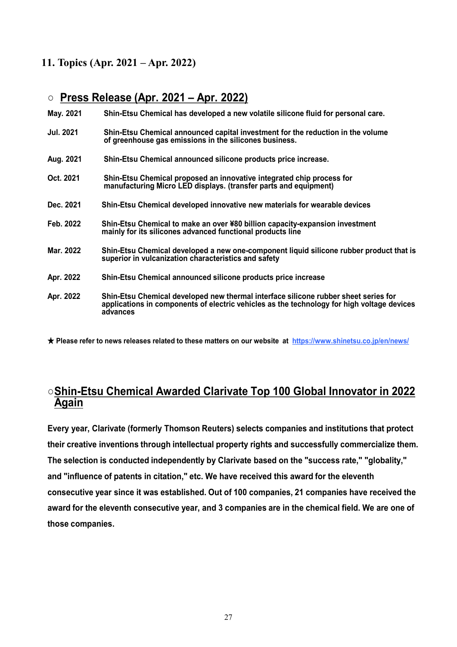# **11. Topics (Apr. 2021 – Apr. 2022)**

# ○ **Press Release (Apr. 2021 – Apr. 2022)**

| May. 2021 | Shin-Etsu Chemical has developed a new volatile silicone fluid for personal care. |
|-----------|-----------------------------------------------------------------------------------|
|           |                                                                                   |

- **Jul. 2021 Shin-Etsu Chemical announced capital investment for the reduction in the volume of greenhouse gas emissions in the silicones business.**
- **Aug. 2021 Shin-Etsu Chemical announced silicone products price increase.**
- **Oct. 2021 Shin-Etsu Chemical proposed an innovative integrated chip process for manufacturing Micro LED displays. (transfer parts and equipment)**
- **Dec. 2021 Shin-Etsu Chemical developed innovative new materials for wearable devices**
- **Feb. 2022 Shin-Etsu Chemical to make an over ¥80 billion capacity-expansion investment mainly for its silicones advanced functional products line**
- **Mar. 2022 Shin-Etsu Chemical developed a new one-component liquid silicone rubber product that is superior in vulcanization characteristics and safety**
- **Apr. 2022 Shin-Etsu Chemical announced silicone products price increase**
- **Apr. 2022 Shin-Etsu Chemical developed new thermal interface silicone rubber sheet series for applications in components of electric vehicles as the technology for high voltage devices advances**

★ **Please refer to news releases related to these matters on our website at https://www.shinetsu.co.jp/en/news/**

# ○**Shin-Etsu Chemical Awarded Clarivate Top 100 Global Innovator in 2022 Again**

**Every year, Clarivate (formerly Thomson Reuters) selects companies and institutions that protect their creative inventions through intellectual property rights and successfully commercialize them. The selection is conducted independently by Clarivate based on the "success rate," "globality," and "influence of patents in citation," etc. We have received this award for the eleventh consecutive year since it was established. Out of 100 companies, 21 companies have received the award for the eleventh consecutive year, and 3 companies are in the chemical field. We are one of those companies.**